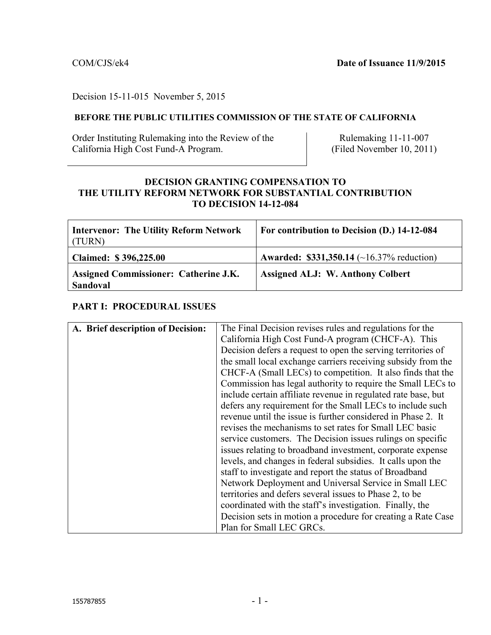#### Decision 15-11-015 November 5, 2015

#### **BEFORE THE PUBLIC UTILITIES COMMISSION OF THE STATE OF CALIFORNIA**

Order Instituting Rulemaking into the Review of the California High Cost Fund-A Program.

Rulemaking 11-11-007 (Filed November 10, 2011)

### **DECISION GRANTING COMPENSATION TO THE UTILITY REFORM NETWORK FOR SUBSTANTIAL CONTRIBUTION TO DECISION 14-12-084**

| Intervenor: The Utility Reform Network<br>(TURN)  | For contribution to Decision (D.) 14-12-084      |
|---------------------------------------------------|--------------------------------------------------|
| Claimed: \$396,225.00                             | <b>Awarded: \$331,350.14</b> (~16.37% reduction) |
| Assigned Commissioner: Catherine J.K.<br>Sandoval | <b>Assigned ALJ: W. Anthony Colbert</b>          |

#### **PART I: PROCEDURAL ISSUES**

| A. Brief description of Decision: | The Final Decision revises rules and regulations for the      |  |
|-----------------------------------|---------------------------------------------------------------|--|
|                                   | California High Cost Fund-A program (CHCF-A). This            |  |
|                                   | Decision defers a request to open the serving territories of  |  |
|                                   | the small local exchange carriers receiving subsidy from the  |  |
|                                   | CHCF-A (Small LECs) to competition. It also finds that the    |  |
|                                   | Commission has legal authority to require the Small LECs to   |  |
|                                   | include certain affiliate revenue in regulated rate base, but |  |
|                                   | defers any requirement for the Small LECs to include such     |  |
|                                   | revenue until the issue is further considered in Phase 2. It  |  |
|                                   | revises the mechanisms to set rates for Small LEC basic       |  |
|                                   | service customers. The Decision issues rulings on specific    |  |
|                                   | issues relating to broadband investment, corporate expense    |  |
|                                   | levels, and changes in federal subsidies. It calls upon the   |  |
|                                   | staff to investigate and report the status of Broadband       |  |
|                                   | Network Deployment and Universal Service in Small LEC         |  |
|                                   | territories and defers several issues to Phase 2, to be       |  |
|                                   | coordinated with the staff's investigation. Finally, the      |  |
|                                   | Decision sets in motion a procedure for creating a Rate Case  |  |
|                                   | Plan for Small LEC GRCs.                                      |  |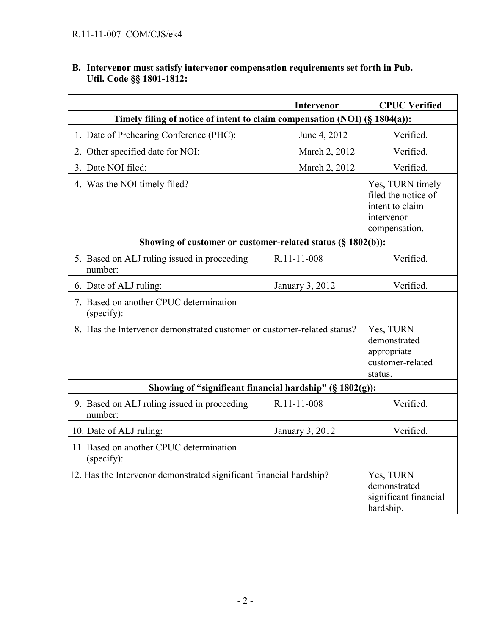#### **B. Intervenor must satisfy intervenor compensation requirements set forth in Pub. Util. Code §§ 1801-1812:**

|                                                                            | <b>Intervenor</b> | <b>CPUC Verified</b>                                                                      |
|----------------------------------------------------------------------------|-------------------|-------------------------------------------------------------------------------------------|
| Timely filing of notice of intent to claim compensation (NOI) (§ 1804(a)): |                   |                                                                                           |
| 1. Date of Prehearing Conference (PHC):                                    | June 4, 2012      | Verified.                                                                                 |
| 2. Other specified date for NOI:                                           | March 2, 2012     | Verified.                                                                                 |
| 3. Date NOI filed:                                                         | March 2, 2012     | Verified.                                                                                 |
| 4. Was the NOI timely filed?                                               |                   | Yes, TURN timely<br>filed the notice of<br>intent to claim<br>intervenor<br>compensation. |
| Showing of customer or customer-related status (§ 1802(b)):                |                   |                                                                                           |
| 5. Based on ALJ ruling issued in proceeding<br>number:                     | R.11-11-008       | Verified.                                                                                 |
| 6. Date of ALJ ruling:                                                     | January 3, 2012   | Verified.                                                                                 |
| 7. Based on another CPUC determination<br>(specify):                       |                   |                                                                                           |
| 8. Has the Intervenor demonstrated customer or customer-related status?    |                   | Yes, TURN<br>demonstrated<br>appropriate<br>customer-related<br>status.                   |
| Showing of "significant financial hardship" $(\S 1802(g))$ :               |                   |                                                                                           |
| 9. Based on ALJ ruling issued in proceeding<br>number:                     | R.11-11-008       | Verified.                                                                                 |
| 10. Date of ALJ ruling:                                                    | January 3, 2012   | Verified.                                                                                 |
| 11. Based on another CPUC determination<br>(specify):                      |                   |                                                                                           |
| 12. Has the Intervenor demonstrated significant financial hardship?        |                   | Yes, TURN<br>demonstrated<br>significant financial<br>hardship.                           |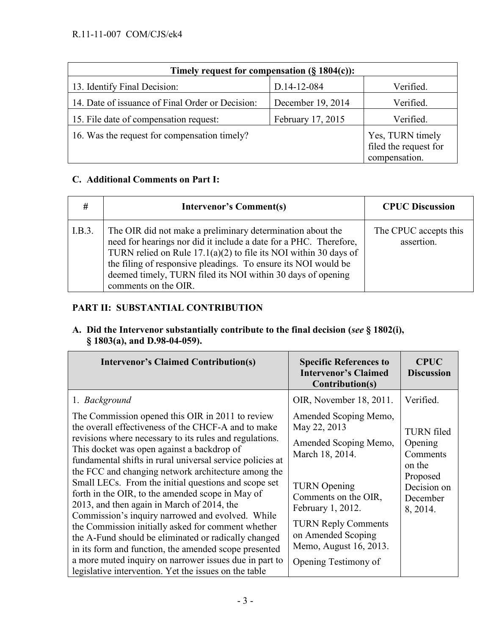| Timely request for compensation $(\S 1804(c))$ : |                   |                                                            |  |
|--------------------------------------------------|-------------------|------------------------------------------------------------|--|
| 13. Identify Final Decision:                     | D.14-12-084       | Verified.                                                  |  |
| 14. Date of issuance of Final Order or Decision: | December 19, 2014 | Verified.                                                  |  |
| 15. File date of compensation request:           | February 17, 2015 | Verified.                                                  |  |
| 16. Was the request for compensation timely?     |                   | Yes, TURN timely<br>filed the request for<br>compensation. |  |

# **C. Additional Comments on Part I:**

| #      | <b>Intervenor's Comment(s)</b>                                                                                                                                                                                                                                                                                                                                 | <b>CPUC Discussion</b>              |
|--------|----------------------------------------------------------------------------------------------------------------------------------------------------------------------------------------------------------------------------------------------------------------------------------------------------------------------------------------------------------------|-------------------------------------|
| I.B.3. | The OIR did not make a preliminary determination about the<br>need for hearings nor did it include a date for a PHC. Therefore,<br>TURN relied on Rule $17.1(a)(2)$ to file its NOI within 30 days of<br>the filing of responsive pleadings. To ensure its NOI would be<br>deemed timely, TURN filed its NOI within 30 days of opening<br>comments on the OIR. | The CPUC accepts this<br>assertion. |

# **PART II: SUBSTANTIAL CONTRIBUTION**

## **A. Did the Intervenor substantially contribute to the final decision (***see* **§ 1802(i), § 1803(a), and D.98-04-059).**

| <b>Intervenor's Claimed Contribution(s)</b>                                                                                                                                                                                                                                                                                                                                                                                                  | <b>Specific References to</b><br><b>Intervenor's Claimed</b><br>Contribution(s)                                                                 | <b>CPUC</b><br><b>Discussion</b>                                                           |
|----------------------------------------------------------------------------------------------------------------------------------------------------------------------------------------------------------------------------------------------------------------------------------------------------------------------------------------------------------------------------------------------------------------------------------------------|-------------------------------------------------------------------------------------------------------------------------------------------------|--------------------------------------------------------------------------------------------|
| 1. Background<br>The Commission opened this OIR in 2011 to review<br>the overall effectiveness of the CHCF-A and to make<br>revisions where necessary to its rules and regulations.<br>This docket was open against a backdrop of<br>fundamental shifts in rural universal service policies at<br>the FCC and changing network architecture among the<br>Small LECs. From the initial questions and scope set                                | OIR, November 18, 2011.<br>Amended Scoping Memo,<br>May 22, 2013<br>Amended Scoping Memo,<br>March 18, 2014.<br><b>TURN</b> Opening             | Verified.<br><b>TURN</b> filed<br>Opening<br>Comments<br>on the<br>Proposed<br>Decision on |
| forth in the OIR, to the amended scope in May of<br>2013, and then again in March of 2014, the<br>Commission's inquiry narrowed and evolved. While<br>the Commission initially asked for comment whether<br>the A-Fund should be eliminated or radically changed<br>in its form and function, the amended scope presented<br>a more muted inquiry on narrower issues due in part to<br>legislative intervention. Yet the issues on the table | Comments on the OIR,<br>February 1, 2012.<br><b>TURN Reply Comments</b><br>on Amended Scoping<br>Memo, August 16, 2013.<br>Opening Testimony of | December<br>8, 2014.                                                                       |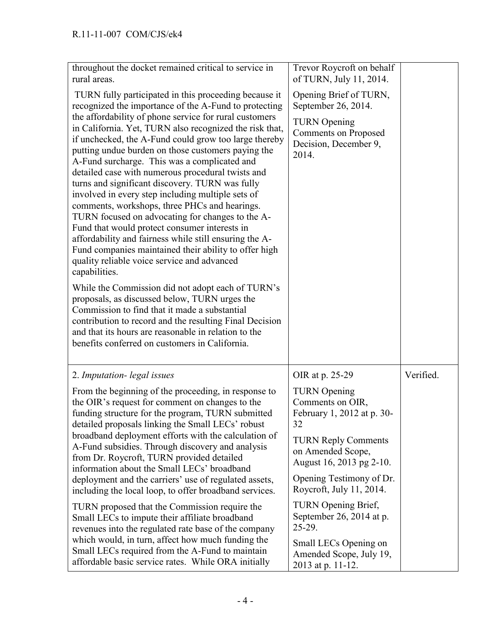| throughout the docket remained critical to service in<br>rural areas.                                                                                                                                                                                                                                                                                                                                                                                                                                                                                                                                                                                                                                                                                                                                                                                                                                                                                                                                    | Trevor Roycroft on behalf<br>of TURN, July 11, 2014.                                 |           |
|----------------------------------------------------------------------------------------------------------------------------------------------------------------------------------------------------------------------------------------------------------------------------------------------------------------------------------------------------------------------------------------------------------------------------------------------------------------------------------------------------------------------------------------------------------------------------------------------------------------------------------------------------------------------------------------------------------------------------------------------------------------------------------------------------------------------------------------------------------------------------------------------------------------------------------------------------------------------------------------------------------|--------------------------------------------------------------------------------------|-----------|
| TURN fully participated in this proceeding because it<br>recognized the importance of the A-Fund to protecting                                                                                                                                                                                                                                                                                                                                                                                                                                                                                                                                                                                                                                                                                                                                                                                                                                                                                           | Opening Brief of TURN,<br>September 26, 2014.                                        |           |
| the affordability of phone service for rural customers<br>in California. Yet, TURN also recognized the risk that,<br>if unchecked, the A-Fund could grow too large thereby<br>putting undue burden on those customers paying the<br>A-Fund surcharge. This was a complicated and<br>detailed case with numerous procedural twists and<br>turns and significant discovery. TURN was fully<br>involved in every step including multiple sets of<br>comments, workshops, three PHCs and hearings.<br>TURN focused on advocating for changes to the A-<br>Fund that would protect consumer interests in<br>affordability and fairness while still ensuring the A-<br>Fund companies maintained their ability to offer high<br>quality reliable voice service and advanced<br>capabilities.<br>While the Commission did not adopt each of TURN's<br>proposals, as discussed below, TURN urges the<br>Commission to find that it made a substantial<br>contribution to record and the resulting Final Decision | <b>TURN</b> Opening<br><b>Comments on Proposed</b><br>Decision, December 9,<br>2014. |           |
| and that its hours are reasonable in relation to the<br>benefits conferred on customers in California.                                                                                                                                                                                                                                                                                                                                                                                                                                                                                                                                                                                                                                                                                                                                                                                                                                                                                                   |                                                                                      |           |
| 2. Imputation-legal issues                                                                                                                                                                                                                                                                                                                                                                                                                                                                                                                                                                                                                                                                                                                                                                                                                                                                                                                                                                               | OIR at p. 25-29                                                                      | Verified. |
| From the beginning of the proceeding, in response to<br>the OIR's request for comment on changes to the<br>funding structure for the program, TURN submitted<br>detailed proposals linking the Small LECs' robust                                                                                                                                                                                                                                                                                                                                                                                                                                                                                                                                                                                                                                                                                                                                                                                        | <b>TURN</b> Opening<br>Comments on OIR,<br>February 1, 2012 at p. 30-<br>32          |           |
| broadband deployment efforts with the calculation of<br>A-Fund subsidies. Through discovery and analysis<br>from Dr. Roycroft, TURN provided detailed<br>information about the Small LECs' broadband                                                                                                                                                                                                                                                                                                                                                                                                                                                                                                                                                                                                                                                                                                                                                                                                     | <b>TURN Reply Comments</b><br>on Amended Scope,<br>August 16, 2013 pg 2-10.          |           |
| deployment and the carriers' use of regulated assets,<br>including the local loop, to offer broadband services.                                                                                                                                                                                                                                                                                                                                                                                                                                                                                                                                                                                                                                                                                                                                                                                                                                                                                          | Opening Testimony of Dr.<br>Roycroft, July 11, 2014.                                 |           |
| TURN proposed that the Commission require the<br>Small LECs to impute their affiliate broadband<br>revenues into the regulated rate base of the company                                                                                                                                                                                                                                                                                                                                                                                                                                                                                                                                                                                                                                                                                                                                                                                                                                                  | TURN Opening Brief,<br>September 26, 2014 at p.<br>$25 - 29$ .                       |           |
| which would, in turn, affect how much funding the<br>Small LECs required from the A-Fund to maintain<br>affordable basic service rates. While ORA initially                                                                                                                                                                                                                                                                                                                                                                                                                                                                                                                                                                                                                                                                                                                                                                                                                                              | Small LECs Opening on<br>Amended Scope, July 19,<br>2013 at p. 11-12.                |           |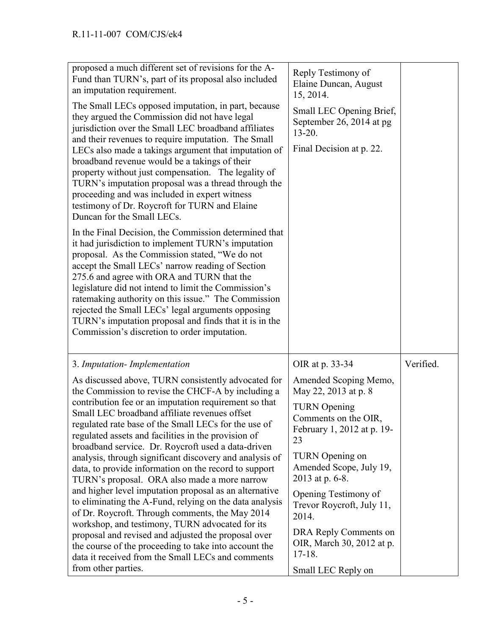| proposed a much different set of revisions for the A-<br>Fund than TURN's, part of its proposal also included<br>an imputation requirement.<br>The Small LECs opposed imputation, in part, because<br>they argued the Commission did not have legal<br>jurisdiction over the Small LEC broadband affiliates<br>and their revenues to require imputation. The Small<br>LECs also made a takings argument that imputation of<br>broadband revenue would be a takings of their<br>property without just compensation. The legality of<br>TURN's imputation proposal was a thread through the<br>proceeding and was included in expert witness<br>testimony of Dr. Roycroft for TURN and Elaine<br>Duncan for the Small LECs.<br>In the Final Decision, the Commission determined that<br>it had jurisdiction to implement TURN's imputation<br>proposal. As the Commission stated, "We do not | Reply Testimony of<br>Elaine Duncan, August<br>15, 2014.<br>Small LEC Opening Brief,<br>September 26, 2014 at pg<br>$13 - 20$ .<br>Final Decision at p. 22. |           |
|--------------------------------------------------------------------------------------------------------------------------------------------------------------------------------------------------------------------------------------------------------------------------------------------------------------------------------------------------------------------------------------------------------------------------------------------------------------------------------------------------------------------------------------------------------------------------------------------------------------------------------------------------------------------------------------------------------------------------------------------------------------------------------------------------------------------------------------------------------------------------------------------|-------------------------------------------------------------------------------------------------------------------------------------------------------------|-----------|
| accept the Small LECs' narrow reading of Section<br>275.6 and agree with ORA and TURN that the<br>legislature did not intend to limit the Commission's<br>ratemaking authority on this issue." The Commission<br>rejected the Small LECs' legal arguments opposing<br>TURN's imputation proposal and finds that it is in the<br>Commission's discretion to order imputation.                                                                                                                                                                                                                                                                                                                                                                                                                                                                                                               |                                                                                                                                                             |           |
| 3. Imputation-Implementation                                                                                                                                                                                                                                                                                                                                                                                                                                                                                                                                                                                                                                                                                                                                                                                                                                                               | OIR at p. 33-34                                                                                                                                             | Verified. |
| As discussed above, TURN consistently advocated for<br>the Commission to revise the CHCF-A by including a                                                                                                                                                                                                                                                                                                                                                                                                                                                                                                                                                                                                                                                                                                                                                                                  | Amended Scoping Memo,<br>May 22, 2013 at p. 8                                                                                                               |           |
| contribution fee or an imputation requirement so that<br>Small LEC broadband affiliate revenues offset<br>regulated rate base of the Small LECs for the use of<br>regulated assets and facilities in the provision of<br>broadband service. Dr. Roycroft used a data-driven                                                                                                                                                                                                                                                                                                                                                                                                                                                                                                                                                                                                                | <b>TURN</b> Opening<br>Comments on the OIR.<br>February 1, 2012 at p. 19-<br>23                                                                             |           |
| analysis, through significant discovery and analysis of<br>data, to provide information on the record to support<br>TURN's proposal. ORA also made a more narrow                                                                                                                                                                                                                                                                                                                                                                                                                                                                                                                                                                                                                                                                                                                           | <b>TURN</b> Opening on<br>Amended Scope, July 19,<br>2013 at p. 6-8.                                                                                        |           |
| and higher level imputation proposal as an alternative<br>to eliminating the A-Fund, relying on the data analysis<br>of Dr. Roycroft. Through comments, the May 2014<br>workshop, and testimony, TURN advocated for its                                                                                                                                                                                                                                                                                                                                                                                                                                                                                                                                                                                                                                                                    | Opening Testimony of<br>Trevor Roycroft, July 11,<br>2014.                                                                                                  |           |
| proposal and revised and adjusted the proposal over<br>the course of the proceeding to take into account the<br>data it received from the Small LECs and comments<br>from other parties.                                                                                                                                                                                                                                                                                                                                                                                                                                                                                                                                                                                                                                                                                                   | DRA Reply Comments on<br>OIR, March 30, 2012 at p.<br>$17 - 18$ .<br>Small LEC Reply on                                                                     |           |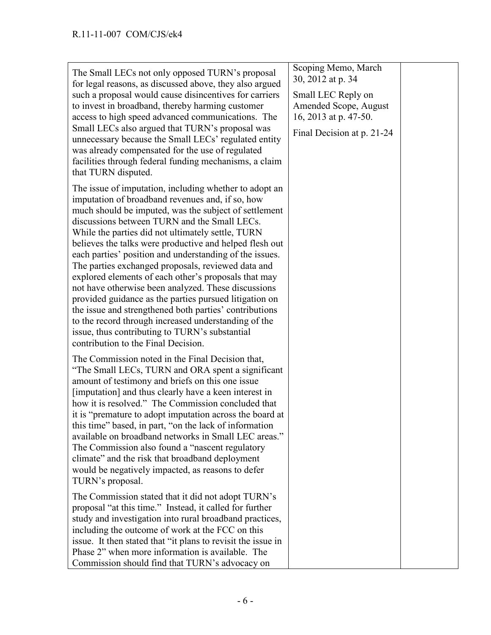| The Small LECs not only opposed TURN's proposal<br>for legal reasons, as discussed above, they also argued<br>such a proposal would cause disincentives for carriers<br>to invest in broadband, thereby harming customer<br>access to high speed advanced communications. The<br>Small LECs also argued that TURN's proposal was<br>unnecessary because the Small LECs' regulated entity<br>was already compensated for the use of regulated<br>facilities through federal funding mechanisms, a claim<br>that TURN disputed.                                                                                                                                                                                                                                                                                                            | Scoping Memo, March<br>30, 2012 at p. 34<br>Small LEC Reply on<br>Amended Scope, August<br>16, 2013 at p. 47-50.<br>Final Decision at p. 21-24 |  |
|------------------------------------------------------------------------------------------------------------------------------------------------------------------------------------------------------------------------------------------------------------------------------------------------------------------------------------------------------------------------------------------------------------------------------------------------------------------------------------------------------------------------------------------------------------------------------------------------------------------------------------------------------------------------------------------------------------------------------------------------------------------------------------------------------------------------------------------|------------------------------------------------------------------------------------------------------------------------------------------------|--|
| The issue of imputation, including whether to adopt an<br>imputation of broadband revenues and, if so, how<br>much should be imputed, was the subject of settlement<br>discussions between TURN and the Small LECs.<br>While the parties did not ultimately settle, TURN<br>believes the talks were productive and helped flesh out<br>each parties' position and understanding of the issues.<br>The parties exchanged proposals, reviewed data and<br>explored elements of each other's proposals that may<br>not have otherwise been analyzed. These discussions<br>provided guidance as the parties pursued litigation on<br>the issue and strengthened both parties' contributions<br>to the record through increased understanding of the<br>issue, thus contributing to TURN's substantial<br>contribution to the Final Decision. |                                                                                                                                                |  |
| The Commission noted in the Final Decision that,<br>"The Small LECs, TURN and ORA spent a significant<br>amount of testimony and briefs on this one issue<br>[imputation] and thus clearly have a keen interest in<br>how it is resolved." The Commission concluded that<br>it is "premature to adopt imputation across the board at<br>this time" based, in part, "on the lack of information"<br>available on broadband networks in Small LEC areas."<br>The Commission also found a "nascent regulatory"<br>climate" and the risk that broadband deployment<br>would be negatively impacted, as reasons to defer<br>TURN's proposal.                                                                                                                                                                                                  |                                                                                                                                                |  |
| The Commission stated that it did not adopt TURN's<br>proposal "at this time." Instead, it called for further<br>study and investigation into rural broadband practices,<br>including the outcome of work at the FCC on this<br>issue. It then stated that "it plans to revisit the issue in<br>Phase 2" when more information is available. The<br>Commission should find that TURN's advocacy on                                                                                                                                                                                                                                                                                                                                                                                                                                       |                                                                                                                                                |  |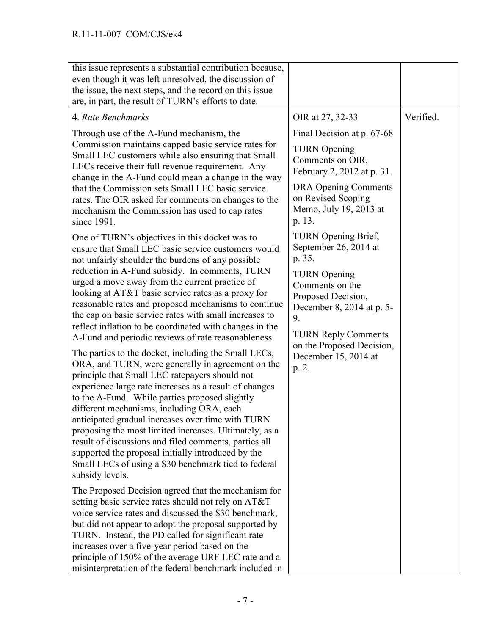| this issue represents a substantial contribution because,<br>even though it was left unresolved, the discussion of<br>the issue, the next steps, and the record on this issue<br>are, in part, the result of TURN's efforts to date.                                                                                                                                                                                                                                                                                                                                                                                                                                                                                                                                                                                                                                                                                                                                                                                                                                                                                                                                                                                                                                                                                                                                                                                                                                                                                                                                                                                                                            |                                                                                                                                                                                                                                                                                                                                                                                                                                                                           |           |
|-----------------------------------------------------------------------------------------------------------------------------------------------------------------------------------------------------------------------------------------------------------------------------------------------------------------------------------------------------------------------------------------------------------------------------------------------------------------------------------------------------------------------------------------------------------------------------------------------------------------------------------------------------------------------------------------------------------------------------------------------------------------------------------------------------------------------------------------------------------------------------------------------------------------------------------------------------------------------------------------------------------------------------------------------------------------------------------------------------------------------------------------------------------------------------------------------------------------------------------------------------------------------------------------------------------------------------------------------------------------------------------------------------------------------------------------------------------------------------------------------------------------------------------------------------------------------------------------------------------------------------------------------------------------|---------------------------------------------------------------------------------------------------------------------------------------------------------------------------------------------------------------------------------------------------------------------------------------------------------------------------------------------------------------------------------------------------------------------------------------------------------------------------|-----------|
| 4. Rate Benchmarks<br>Through use of the A-Fund mechanism, the<br>Commission maintains capped basic service rates for<br>Small LEC customers while also ensuring that Small<br>LECs receive their full revenue requirement. Any<br>change in the A-Fund could mean a change in the way<br>that the Commission sets Small LEC basic service<br>rates. The OIR asked for comments on changes to the<br>mechanism the Commission has used to cap rates<br>since 1991.<br>One of TURN's objectives in this docket was to<br>ensure that Small LEC basic service customers would<br>not unfairly shoulder the burdens of any possible<br>reduction in A-Fund subsidy. In comments, TURN<br>urged a move away from the current practice of<br>looking at AT&T basic service rates as a proxy for<br>reasonable rates and proposed mechanisms to continue<br>the cap on basic service rates with small increases to<br>reflect inflation to be coordinated with changes in the<br>A-Fund and periodic reviews of rate reasonableness.<br>The parties to the docket, including the Small LECs,<br>ORA, and TURN, were generally in agreement on the<br>principle that Small LEC ratepayers should not<br>experience large rate increases as a result of changes<br>to the A-Fund. While parties proposed slightly<br>different mechanisms, including ORA, each<br>anticipated gradual increases over time with TURN<br>proposing the most limited increases. Ultimately, as a<br>result of discussions and filed comments, parties all<br>supported the proposal initially introduced by the<br>Small LECs of using a \$30 benchmark tied to federal<br>subsidy levels. | OIR at 27, 32-33<br>Final Decision at p. 67-68<br><b>TURN</b> Opening<br>Comments on OIR,<br>February 2, 2012 at p. 31.<br><b>DRA Opening Comments</b><br>on Revised Scoping<br>Memo, July 19, 2013 at<br>p. 13.<br>TURN Opening Brief,<br>September 26, 2014 at<br>p. 35.<br><b>TURN</b> Opening<br>Comments on the<br>Proposed Decision,<br>December 8, 2014 at p. 5-<br>9.<br><b>TURN Reply Comments</b><br>on the Proposed Decision,<br>December 15, 2014 at<br>p. 2. | Verified. |
| The Proposed Decision agreed that the mechanism for<br>setting basic service rates should not rely on AT&T<br>voice service rates and discussed the \$30 benchmark,<br>but did not appear to adopt the proposal supported by<br>TURN. Instead, the PD called for significant rate<br>increases over a five-year period based on the<br>principle of 150% of the average URF LEC rate and a<br>misinterpretation of the federal benchmark included in                                                                                                                                                                                                                                                                                                                                                                                                                                                                                                                                                                                                                                                                                                                                                                                                                                                                                                                                                                                                                                                                                                                                                                                                            |                                                                                                                                                                                                                                                                                                                                                                                                                                                                           |           |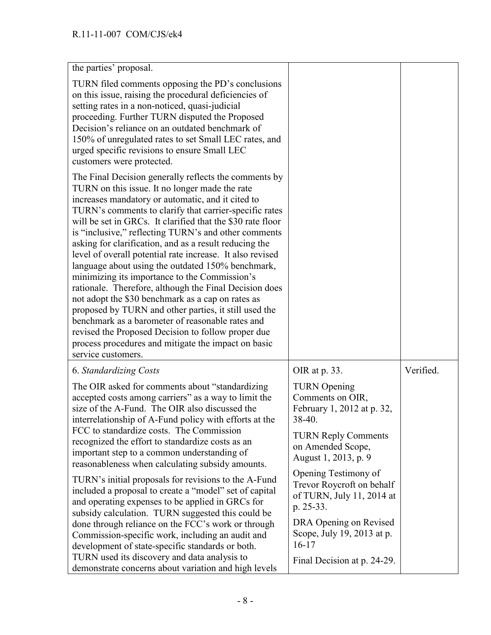| the parties' proposal.                                                                                                                                                                                                                                                                                                                                                                                                                                                                                                                                                                                                                                                                                                                                                                                                                                                                                                                   |                                                                                             |           |
|------------------------------------------------------------------------------------------------------------------------------------------------------------------------------------------------------------------------------------------------------------------------------------------------------------------------------------------------------------------------------------------------------------------------------------------------------------------------------------------------------------------------------------------------------------------------------------------------------------------------------------------------------------------------------------------------------------------------------------------------------------------------------------------------------------------------------------------------------------------------------------------------------------------------------------------|---------------------------------------------------------------------------------------------|-----------|
| TURN filed comments opposing the PD's conclusions<br>on this issue, raising the procedural deficiencies of<br>setting rates in a non-noticed, quasi-judicial<br>proceeding. Further TURN disputed the Proposed<br>Decision's reliance on an outdated benchmark of<br>150% of unregulated rates to set Small LEC rates, and<br>urged specific revisions to ensure Small LEC<br>customers were protected.                                                                                                                                                                                                                                                                                                                                                                                                                                                                                                                                  |                                                                                             |           |
| The Final Decision generally reflects the comments by<br>TURN on this issue. It no longer made the rate<br>increases mandatory or automatic, and it cited to<br>TURN's comments to clarify that carrier-specific rates<br>will be set in GRCs. It clarified that the \$30 rate floor<br>is "inclusive," reflecting TURN's and other comments<br>asking for clarification, and as a result reducing the<br>level of overall potential rate increase. It also revised<br>language about using the outdated 150% benchmark,<br>minimizing its importance to the Commission's<br>rationale. Therefore, although the Final Decision does<br>not adopt the \$30 benchmark as a cap on rates as<br>proposed by TURN and other parties, it still used the<br>benchmark as a barometer of reasonable rates and<br>revised the Proposed Decision to follow proper due<br>process procedures and mitigate the impact on basic<br>service customers. |                                                                                             |           |
| <b>6. Standardizing Costs</b>                                                                                                                                                                                                                                                                                                                                                                                                                                                                                                                                                                                                                                                                                                                                                                                                                                                                                                            | OIR at p. 33.                                                                               | Verified. |
| The OIR asked for comments about "standardizing"<br>accepted costs among carriers" as a way to limit the<br>size of the A-Fund. The OIR also discussed the<br>interrelationship of A-Fund policy with efforts at the                                                                                                                                                                                                                                                                                                                                                                                                                                                                                                                                                                                                                                                                                                                     | <b>TURN</b> Opening<br>Comments on OIR,<br>February 1, 2012 at p. 32,<br>$38-40.$           |           |
| FCC to standardize costs. The Commission<br>recognized the effort to standardize costs as an<br>important step to a common understanding of<br>reasonableness when calculating subsidy amounts.                                                                                                                                                                                                                                                                                                                                                                                                                                                                                                                                                                                                                                                                                                                                          | <b>TURN Reply Comments</b><br>on Amended Scope,<br>August 1, 2013, p. 9                     |           |
| TURN's initial proposals for revisions to the A-Fund<br>included a proposal to create a "model" set of capital<br>and operating expenses to be applied in GRCs for<br>subsidy calculation. TURN suggested this could be                                                                                                                                                                                                                                                                                                                                                                                                                                                                                                                                                                                                                                                                                                                  | Opening Testimony of<br>Trevor Roycroft on behalf<br>of TURN, July 11, 2014 at<br>p. 25-33. |           |
| done through reliance on the FCC's work or through<br>Commission-specific work, including an audit and<br>development of state-specific standards or both.                                                                                                                                                                                                                                                                                                                                                                                                                                                                                                                                                                                                                                                                                                                                                                               | DRA Opening on Revised<br>Scope, July 19, 2013 at p.<br>$16-17$                             |           |
| TURN used its discovery and data analysis to<br>demonstrate concerns about variation and high levels                                                                                                                                                                                                                                                                                                                                                                                                                                                                                                                                                                                                                                                                                                                                                                                                                                     | Final Decision at p. 24-29.                                                                 |           |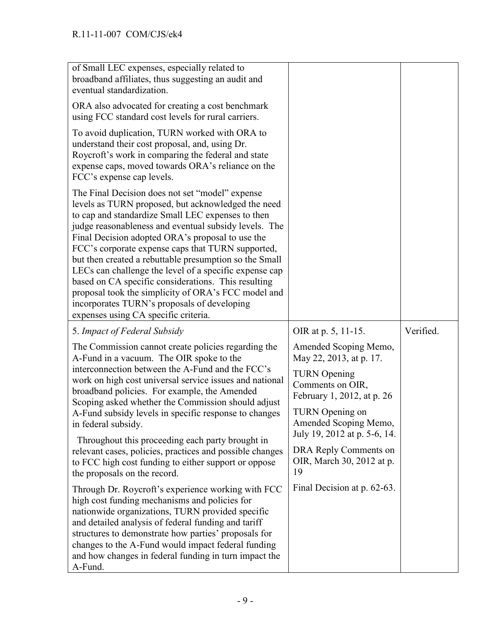| of Small LEC expenses, especially related to<br>broadband affiliates, thus suggesting an audit and<br>eventual standardization.                                                                                                                                                                                                                                                                                                                                                                                                                                                                                                                       |                                                                                                                           |           |
|-------------------------------------------------------------------------------------------------------------------------------------------------------------------------------------------------------------------------------------------------------------------------------------------------------------------------------------------------------------------------------------------------------------------------------------------------------------------------------------------------------------------------------------------------------------------------------------------------------------------------------------------------------|---------------------------------------------------------------------------------------------------------------------------|-----------|
| ORA also advocated for creating a cost benchmark<br>using FCC standard cost levels for rural carriers.                                                                                                                                                                                                                                                                                                                                                                                                                                                                                                                                                |                                                                                                                           |           |
| To avoid duplication, TURN worked with ORA to<br>understand their cost proposal, and, using Dr.<br>Roycroft's work in comparing the federal and state<br>expense caps, moved towards ORA's reliance on the<br>FCC's expense cap levels.                                                                                                                                                                                                                                                                                                                                                                                                               |                                                                                                                           |           |
| The Final Decision does not set "model" expense<br>levels as TURN proposed, but acknowledged the need<br>to cap and standardize Small LEC expenses to then<br>judge reasonableness and eventual subsidy levels. The<br>Final Decision adopted ORA's proposal to use the<br>FCC's corporate expense caps that TURN supported,<br>but then created a rebuttable presumption so the Small<br>LECs can challenge the level of a specific expense cap<br>based on CA specific considerations. This resulting<br>proposal took the simplicity of ORA's FCC model and<br>incorporates TURN's proposals of developing<br>expenses using CA specific criteria. |                                                                                                                           |           |
| 5. Impact of Federal Subsidy                                                                                                                                                                                                                                                                                                                                                                                                                                                                                                                                                                                                                          | OIR at p. 5, 11-15.                                                                                                       | Verified. |
| The Commission cannot create policies regarding the<br>A-Fund in a vacuum. The OIR spoke to the<br>interconnection between the A-Fund and the FCC's<br>work on high cost universal service issues and national<br>broadband policies. For example, the Amended<br>Scoping asked whether the Commission should adjust                                                                                                                                                                                                                                                                                                                                  | Amended Scoping Memo,<br>May 22, 2013, at p. 17.<br><b>TURN</b> Opening<br>Comments on OIR,<br>February 1, 2012, at p. 26 |           |
| A-Fund subsidy levels in specific response to changes<br>in federal subsidy.                                                                                                                                                                                                                                                                                                                                                                                                                                                                                                                                                                          | TURN Opening on<br>Amended Scoping Memo,<br>July 19, 2012 at p. 5-6, 14.                                                  |           |
| Throughout this proceeding each party brought in<br>relevant cases, policies, practices and possible changes<br>to FCC high cost funding to either support or oppose<br>the proposals on the record.                                                                                                                                                                                                                                                                                                                                                                                                                                                  | DRA Reply Comments on<br>OIR, March 30, 2012 at p.<br>19                                                                  |           |
| Through Dr. Roycroft's experience working with FCC<br>high cost funding mechanisms and policies for<br>nationwide organizations, TURN provided specific<br>and detailed analysis of federal funding and tariff<br>structures to demonstrate how parties' proposals for<br>changes to the A-Fund would impact federal funding<br>and how changes in federal funding in turn impact the                                                                                                                                                                                                                                                                 | Final Decision at p. 62-63.                                                                                               |           |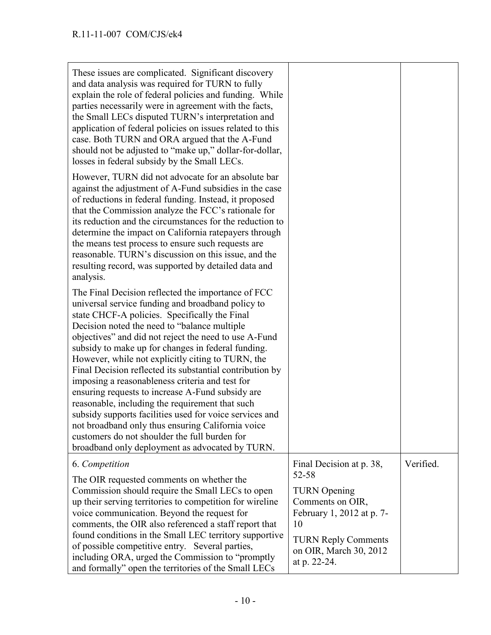| These issues are complicated. Significant discovery<br>and data analysis was required for TURN to fully<br>explain the role of federal policies and funding. While<br>parties necessarily were in agreement with the facts,<br>the Small LECs disputed TURN's interpretation and<br>application of federal policies on issues related to this<br>case. Both TURN and ORA argued that the A-Fund<br>should not be adjusted to "make up," dollar-for-dollar,<br>losses in federal subsidy by the Small LECs.                                                                                                                                                                                                                                                                                                             |                                                                                                                                                                                         |           |
|------------------------------------------------------------------------------------------------------------------------------------------------------------------------------------------------------------------------------------------------------------------------------------------------------------------------------------------------------------------------------------------------------------------------------------------------------------------------------------------------------------------------------------------------------------------------------------------------------------------------------------------------------------------------------------------------------------------------------------------------------------------------------------------------------------------------|-----------------------------------------------------------------------------------------------------------------------------------------------------------------------------------------|-----------|
| However, TURN did not advocate for an absolute bar<br>against the adjustment of A-Fund subsidies in the case<br>of reductions in federal funding. Instead, it proposed<br>that the Commission analyze the FCC's rationale for<br>its reduction and the circumstances for the reduction to<br>determine the impact on California ratepayers through<br>the means test process to ensure such requests are<br>reasonable. TURN's discussion on this issue, and the<br>resulting record, was supported by detailed data and<br>analysis.                                                                                                                                                                                                                                                                                  |                                                                                                                                                                                         |           |
| The Final Decision reflected the importance of FCC<br>universal service funding and broadband policy to<br>state CHCF-A policies. Specifically the Final<br>Decision noted the need to "balance multiple<br>objectives" and did not reject the need to use A-Fund<br>subsidy to make up for changes in federal funding.<br>However, while not explicitly citing to TURN, the<br>Final Decision reflected its substantial contribution by<br>imposing a reasonableness criteria and test for<br>ensuring requests to increase A-Fund subsidy are<br>reasonable, including the requirement that such<br>subsidy supports facilities used for voice services and<br>not broadband only thus ensuring California voice<br>customers do not shoulder the full burden for<br>broadband only deployment as advocated by TURN. |                                                                                                                                                                                         |           |
| 6. Competition<br>The OIR requested comments on whether the<br>Commission should require the Small LECs to open<br>up their serving territories to competition for wireline<br>voice communication. Beyond the request for<br>comments, the OIR also referenced a staff report that<br>found conditions in the Small LEC territory supportive<br>of possible competitive entry. Several parties,<br>including ORA, urged the Commission to "promptly"<br>and formally" open the territories of the Small LECs                                                                                                                                                                                                                                                                                                          | Final Decision at p. 38,<br>52-58<br><b>TURN</b> Opening<br>Comments on OIR,<br>February 1, 2012 at p. 7-<br>10<br><b>TURN Reply Comments</b><br>on OIR, March 30, 2012<br>at p. 22-24. | Verified. |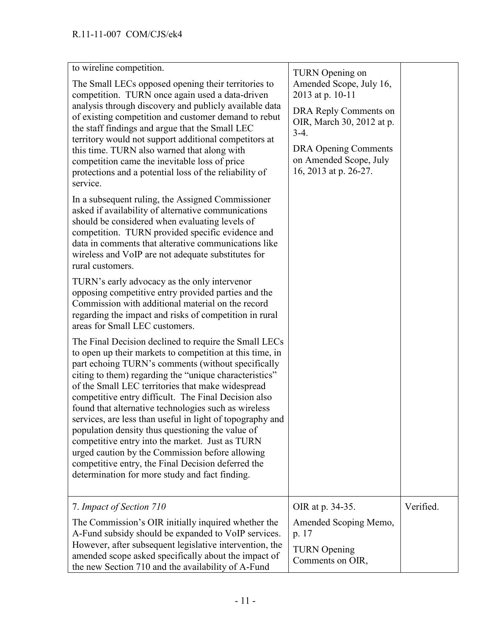| to wireline competition.<br>The Small LECs opposed opening their territories to<br>competition. TURN once again used a data-driven<br>analysis through discovery and publicly available data<br>of existing competition and customer demand to rebut<br>the staff findings and argue that the Small LEC<br>territory would not support additional competitors at<br>this time. TURN also warned that along with<br>competition came the inevitable loss of price<br>protections and a potential loss of the reliability of<br>service.<br>In a subsequent ruling, the Assigned Commissioner<br>asked if availability of alternative communications<br>should be considered when evaluating levels of<br>competition. TURN provided specific evidence and<br>data in comments that alterative communications like<br>wireless and VoIP are not adequate substitutes for<br>rural customers.<br>TURN's early advocacy as the only intervenor | TURN Opening on<br>Amended Scope, July 16,<br>2013 at p. 10-11<br>DRA Reply Comments on<br>OIR, March 30, 2012 at p.<br>$3-4.$<br><b>DRA Opening Comments</b><br>on Amended Scope, July<br>16, 2013 at p. 26-27. |           |
|--------------------------------------------------------------------------------------------------------------------------------------------------------------------------------------------------------------------------------------------------------------------------------------------------------------------------------------------------------------------------------------------------------------------------------------------------------------------------------------------------------------------------------------------------------------------------------------------------------------------------------------------------------------------------------------------------------------------------------------------------------------------------------------------------------------------------------------------------------------------------------------------------------------------------------------------|------------------------------------------------------------------------------------------------------------------------------------------------------------------------------------------------------------------|-----------|
| opposing competitive entry provided parties and the<br>Commission with additional material on the record<br>regarding the impact and risks of competition in rural<br>areas for Small LEC customers.                                                                                                                                                                                                                                                                                                                                                                                                                                                                                                                                                                                                                                                                                                                                       |                                                                                                                                                                                                                  |           |
| The Final Decision declined to require the Small LECs<br>to open up their markets to competition at this time, in<br>part echoing TURN's comments (without specifically<br>citing to them) regarding the "unique characteristics"<br>of the Small LEC territories that make widespread<br>competitive entry difficult. The Final Decision also<br>found that alternative technologies such as wireless<br>services, are less than useful in light of topography and<br>population density thus questioning the value of<br>competitive entry into the market. Just as TURN<br>urged caution by the Commission before allowing<br>competitive entry, the Final Decision deferred the<br>determination for more study and fact finding.                                                                                                                                                                                                      |                                                                                                                                                                                                                  |           |
| 7. Impact of Section 710                                                                                                                                                                                                                                                                                                                                                                                                                                                                                                                                                                                                                                                                                                                                                                                                                                                                                                                   | OIR at p. 34-35.                                                                                                                                                                                                 | Verified. |
| The Commission's OIR initially inquired whether the<br>A-Fund subsidy should be expanded to VoIP services.<br>However, after subsequent legislative intervention, the<br>amended scope asked specifically about the impact of<br>the new Section 710 and the availability of A-Fund                                                                                                                                                                                                                                                                                                                                                                                                                                                                                                                                                                                                                                                        | Amended Scoping Memo,<br>p. 17<br><b>TURN</b> Opening<br>Comments on OIR,                                                                                                                                        |           |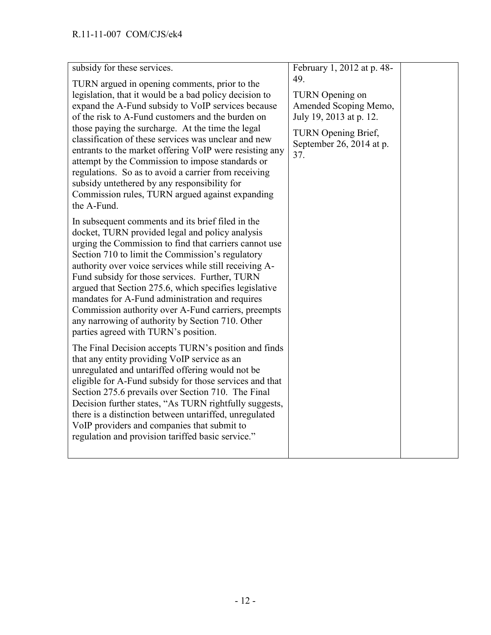| subsidy for these services.                                                                                                                                                                                                                                                                                                                                                                                                                                                                                                                                                                                              | February 1, 2012 at p. 48-                                                                                                                  |  |
|--------------------------------------------------------------------------------------------------------------------------------------------------------------------------------------------------------------------------------------------------------------------------------------------------------------------------------------------------------------------------------------------------------------------------------------------------------------------------------------------------------------------------------------------------------------------------------------------------------------------------|---------------------------------------------------------------------------------------------------------------------------------------------|--|
| TURN argued in opening comments, prior to the<br>legislation, that it would be a bad policy decision to<br>expand the A-Fund subsidy to VoIP services because<br>of the risk to A-Fund customers and the burden on<br>those paying the surcharge. At the time the legal<br>classification of these services was unclear and new<br>entrants to the market offering VoIP were resisting any<br>attempt by the Commission to impose standards or<br>regulations. So as to avoid a carrier from receiving<br>subsidy unterhered by any responsibility for<br>Commission rules, TURN argued against expanding<br>the A-Fund. | 49.<br>TURN Opening on<br>Amended Scoping Memo,<br>July 19, 2013 at p. 12.<br><b>TURN</b> Opening Brief,<br>September 26, 2014 at p.<br>37. |  |
| In subsequent comments and its brief filed in the<br>docket, TURN provided legal and policy analysis<br>urging the Commission to find that carriers cannot use<br>Section 710 to limit the Commission's regulatory<br>authority over voice services while still receiving A-<br>Fund subsidy for those services. Further, TURN<br>argued that Section 275.6, which specifies legislative<br>mandates for A-Fund administration and requires<br>Commission authority over A-Fund carriers, preempts<br>any narrowing of authority by Section 710. Other<br>parties agreed with TURN's position.                           |                                                                                                                                             |  |
| The Final Decision accepts TURN's position and finds<br>that any entity providing VoIP service as an<br>unregulated and untariffed offering would not be<br>eligible for A-Fund subsidy for those services and that<br>Section 275.6 prevails over Section 710. The Final<br>Decision further states, "As TURN rightfully suggests,<br>there is a distinction between untariffed, unregulated<br>VoIP providers and companies that submit to<br>regulation and provision tariffed basic service."                                                                                                                        |                                                                                                                                             |  |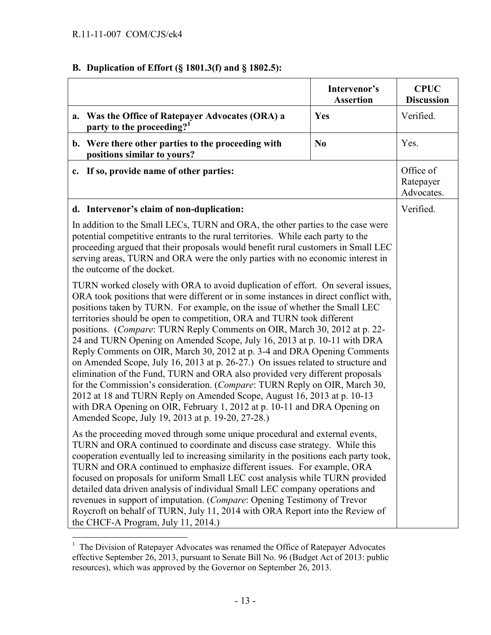# **B. Duplication of Effort (§ 1801.3(f) and § 1802.5):**

|                                                                                                                                                                                                                                                                                                                                                                                                                                                                                                                                                                                                                                                                                                                                                                                                                                                                                                                                                                                                                                                                                                                                                                                                                                                                                                                                                                                                                                                                                                                                                                                                                                                                                                                                                                                                                                                                                                                                                                                                                                                                                                                                                                 | Intervenor's<br><b>Assertion</b> | <b>CPUC</b><br><b>Discussion</b>     |
|-----------------------------------------------------------------------------------------------------------------------------------------------------------------------------------------------------------------------------------------------------------------------------------------------------------------------------------------------------------------------------------------------------------------------------------------------------------------------------------------------------------------------------------------------------------------------------------------------------------------------------------------------------------------------------------------------------------------------------------------------------------------------------------------------------------------------------------------------------------------------------------------------------------------------------------------------------------------------------------------------------------------------------------------------------------------------------------------------------------------------------------------------------------------------------------------------------------------------------------------------------------------------------------------------------------------------------------------------------------------------------------------------------------------------------------------------------------------------------------------------------------------------------------------------------------------------------------------------------------------------------------------------------------------------------------------------------------------------------------------------------------------------------------------------------------------------------------------------------------------------------------------------------------------------------------------------------------------------------------------------------------------------------------------------------------------------------------------------------------------------------------------------------------------|----------------------------------|--------------------------------------|
| a. Was the Office of Ratepayer Advocates (ORA) a<br>party to the proceeding? <sup>1</sup>                                                                                                                                                                                                                                                                                                                                                                                                                                                                                                                                                                                                                                                                                                                                                                                                                                                                                                                                                                                                                                                                                                                                                                                                                                                                                                                                                                                                                                                                                                                                                                                                                                                                                                                                                                                                                                                                                                                                                                                                                                                                       | Yes                              | Verified.                            |
| b. Were there other parties to the proceeding with<br>positions similar to yours?                                                                                                                                                                                                                                                                                                                                                                                                                                                                                                                                                                                                                                                                                                                                                                                                                                                                                                                                                                                                                                                                                                                                                                                                                                                                                                                                                                                                                                                                                                                                                                                                                                                                                                                                                                                                                                                                                                                                                                                                                                                                               | N <sub>0</sub>                   | Yes.                                 |
| c. If so, provide name of other parties:                                                                                                                                                                                                                                                                                                                                                                                                                                                                                                                                                                                                                                                                                                                                                                                                                                                                                                                                                                                                                                                                                                                                                                                                                                                                                                                                                                                                                                                                                                                                                                                                                                                                                                                                                                                                                                                                                                                                                                                                                                                                                                                        |                                  | Office of<br>Ratepayer<br>Advocates. |
| d. Intervenor's claim of non-duplication:<br>In addition to the Small LECs, TURN and ORA, the other parties to the case were<br>potential competitive entrants to the rural territories. While each party to the<br>proceeding argued that their proposals would benefit rural customers in Small LEC<br>serving areas, TURN and ORA were the only parties with no economic interest in<br>the outcome of the docket.<br>TURN worked closely with ORA to avoid duplication of effort. On several issues,<br>ORA took positions that were different or in some instances in direct conflict with,<br>positions taken by TURN. For example, on the issue of whether the Small LEC<br>territories should be open to competition, ORA and TURN took different<br>positions. (Compare: TURN Reply Comments on OIR, March 30, 2012 at p. 22-<br>24 and TURN Opening on Amended Scope, July 16, 2013 at p. 10-11 with DRA<br>Reply Comments on OIR, March 30, 2012 at p. 3-4 and DRA Opening Comments<br>on Amended Scope, July 16, 2013 at p. 26-27.) On issues related to structure and<br>elimination of the Fund, TURN and ORA also provided very different proposals<br>for the Commission's consideration. (Compare: TURN Reply on OIR, March 30,<br>2012 at 18 and TURN Reply on Amended Scope, August 16, 2013 at p. 10-13<br>with DRA Opening on OIR, February 1, 2012 at p. 10-11 and DRA Opening on<br>Amended Scope, July 19, 2013 at p. 19-20, 27-28.)<br>As the proceeding moved through some unique procedural and external events,<br>TURN and ORA continued to coordinate and discuss case strategy. While this<br>cooperation eventually led to increasing similarity in the positions each party took,<br>TURN and ORA continued to emphasize different issues. For example, ORA<br>focused on proposals for uniform Small LEC cost analysis while TURN provided<br>detailed data driven analysis of individual Small LEC company operations and<br>revenues in support of imputation. (Compare: Opening Testimony of Trevor<br>Roycroft on behalf of TURN, July 11, 2014 with ORA Report into the Review of<br>the CHCF-A Program, July 11, 2014.) |                                  | Verified.                            |

<sup>&</sup>lt;sup>1</sup> The Division of Ratepayer Advocates was renamed the Office of Ratepayer Advocates effective September 26, 2013, pursuant to Senate Bill No. 96 (Budget Act of 2013: public resources), which was approved by the Governor on September 26, 2013.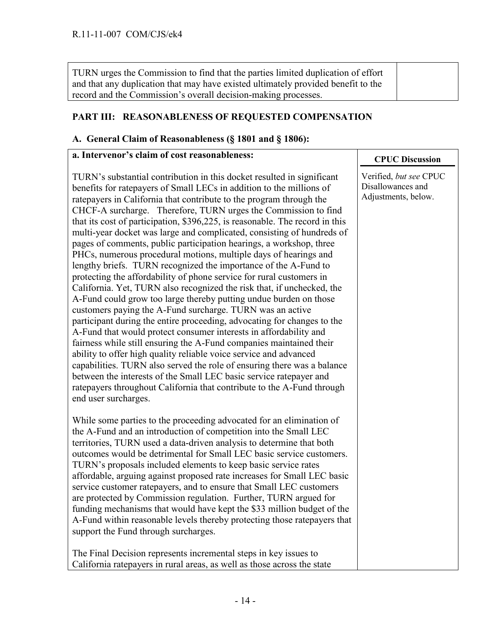TURN urges the Commission to find that the parties limited duplication of effort and that any duplication that may have existed ultimately provided benefit to the record and the Commission's overall decision-making processes.

### **PART III: REASONABLENESS OF REQUESTED COMPENSATION**

#### **A. General Claim of Reasonableness (§ 1801 and § 1806):**

#### **a. Intervenor's claim of cost reasonableness:**

TURN's substantial contribution in this docket resulted in significant benefits for ratepayers of Small LECs in addition to the millions of ratepayers in California that contribute to the program through the CHCF-A surcharge. Therefore, TURN urges the Commission to find that its cost of participation, \$396,225, is reasonable. The record in this multi-year docket was large and complicated, consisting of hundreds of pages of comments, public participation hearings, a workshop, three PHCs, numerous procedural motions, multiple days of hearings and lengthy briefs. TURN recognized the importance of the A-Fund to protecting the affordability of phone service for rural customers in California. Yet, TURN also recognized the risk that, if unchecked, the A-Fund could grow too large thereby putting undue burden on those customers paying the A-Fund surcharge. TURN was an active participant during the entire proceeding, advocating for changes to the A-Fund that would protect consumer interests in affordability and fairness while still ensuring the A-Fund companies maintained their ability to offer high quality reliable voice service and advanced capabilities. TURN also served the role of ensuring there was a balance between the interests of the Small LEC basic service ratepayer and ratepayers throughout California that contribute to the A-Fund through end user surcharges.

While some parties to the proceeding advocated for an elimination of the A-Fund and an introduction of competition into the Small LEC territories, TURN used a data-driven analysis to determine that both outcomes would be detrimental for Small LEC basic service customers. TURN's proposals included elements to keep basic service rates affordable, arguing against proposed rate increases for Small LEC basic service customer ratepayers, and to ensure that Small LEC customers are protected by Commission regulation. Further, TURN argued for funding mechanisms that would have kept the \$33 million budget of the A-Fund within reasonable levels thereby protecting those ratepayers that support the Fund through surcharges.

The Final Decision represents incremental steps in key issues to California ratepayers in rural areas, as well as those across the state

### **CPUC Discussion**

Verified, *but see* CPUC Disallowances and Adjustments, below.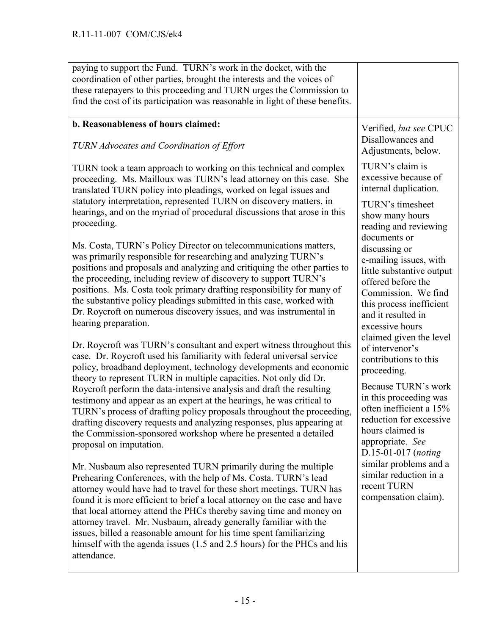| paying to support the Fund. TURN's work in the docket, with the<br>coordination of other parties, brought the interests and the voices of<br>these ratepayers to this proceeding and TURN urges the Commission to<br>find the cost of its participation was reasonable in light of these benefits.                                                                                                                                                                                                                                                                                                                                                                                            |                                                                                                                                                                                                                                   |
|-----------------------------------------------------------------------------------------------------------------------------------------------------------------------------------------------------------------------------------------------------------------------------------------------------------------------------------------------------------------------------------------------------------------------------------------------------------------------------------------------------------------------------------------------------------------------------------------------------------------------------------------------------------------------------------------------|-----------------------------------------------------------------------------------------------------------------------------------------------------------------------------------------------------------------------------------|
| b. Reasonableness of hours claimed:<br>TURN Advocates and Coordination of Effort                                                                                                                                                                                                                                                                                                                                                                                                                                                                                                                                                                                                              | Verified, but see CPUC<br>Disallowances and<br>Adjustments, below.                                                                                                                                                                |
| TURN took a team approach to working on this technical and complex<br>proceeding. Ms. Mailloux was TURN's lead attorney on this case. She<br>translated TURN policy into pleadings, worked on legal issues and                                                                                                                                                                                                                                                                                                                                                                                                                                                                                | TURN's claim is<br>excessive because of<br>internal duplication.                                                                                                                                                                  |
| statutory interpretation, represented TURN on discovery matters, in<br>hearings, and on the myriad of procedural discussions that arose in this<br>proceeding.                                                                                                                                                                                                                                                                                                                                                                                                                                                                                                                                | TURN's timesheet<br>show many hours<br>reading and reviewing                                                                                                                                                                      |
| Ms. Costa, TURN's Policy Director on telecommunications matters,<br>was primarily responsible for researching and analyzing TURN's<br>positions and proposals and analyzing and critiquing the other parties to<br>the proceeding, including review of discovery to support TURN's<br>positions. Ms. Costa took primary drafting responsibility for many of<br>the substantive policy pleadings submitted in this case, worked with<br>Dr. Roycroft on numerous discovery issues, and was instrumental in<br>hearing preparation.                                                                                                                                                             | documents or<br>discussing or<br>e-mailing issues, with<br>little substantive output<br>offered before the<br>Commission. We find<br>this process inefficient<br>and it resulted in<br>excessive hours<br>claimed given the level |
| Dr. Roycroft was TURN's consultant and expert witness throughout this<br>case. Dr. Roycroft used his familiarity with federal universal service<br>policy, broadband deployment, technology developments and economic<br>theory to represent TURN in multiple capacities. Not only did Dr.<br>Roycroft perform the data-intensive analysis and draft the resulting<br>testimony and appear as an expert at the hearings, he was critical to<br>TURN's process of drafting policy proposals throughout the proceeding,<br>drafting discovery requests and analyzing responses, plus appearing at<br>the Commission-sponsored workshop where he presented a detailed<br>proposal on imputation. | of intervenor's<br>contributions to this<br>proceeding.<br>Because TURN's work<br>in this proceeding was<br>often inefficient a 15%<br>reduction for excessive<br>hours claimed is<br>appropriate. See<br>$D.15-01-017$ (noting   |
| Mr. Nusbaum also represented TURN primarily during the multiple<br>Prehearing Conferences, with the help of Ms. Costa. TURN's lead<br>attorney would have had to travel for these short meetings. TURN has<br>found it is more efficient to brief a local attorney on the case and have<br>that local attorney attend the PHCs thereby saving time and money on<br>attorney travel. Mr. Nusbaum, already generally familiar with the<br>issues, billed a reasonable amount for his time spent familiarizing<br>himself with the agenda issues (1.5 and 2.5 hours) for the PHCs and his<br>attendance.                                                                                         | similar problems and a<br>similar reduction in a<br>recent TURN<br>compensation claim).                                                                                                                                           |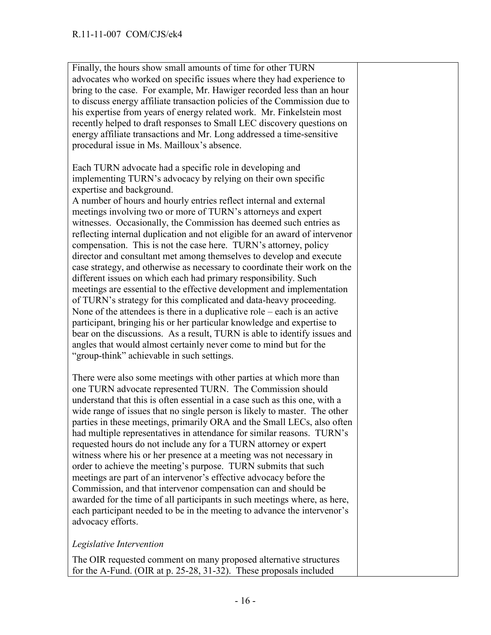Finally, the hours show small amounts of time for other TURN advocates who worked on specific issues where they had experience to bring to the case. For example, Mr. Hawiger recorded less than an hour to discuss energy affiliate transaction policies of the Commission due to his expertise from years of energy related work. Mr. Finkelstein most recently helped to draft responses to Small LEC discovery questions on energy affiliate transactions and Mr. Long addressed a time-sensitive procedural issue in Ms. Mailloux's absence.

Each TURN advocate had a specific role in developing and implementing TURN's advocacy by relying on their own specific expertise and background.

A number of hours and hourly entries reflect internal and external meetings involving two or more of TURN's attorneys and expert witnesses. Occasionally, the Commission has deemed such entries as reflecting internal duplication and not eligible for an award of intervenor compensation. This is not the case here. TURN's attorney, policy director and consultant met among themselves to develop and execute case strategy, and otherwise as necessary to coordinate their work on the different issues on which each had primary responsibility. Such meetings are essential to the effective development and implementation of TURN's strategy for this complicated and data-heavy proceeding. None of the attendees is there in a duplicative role – each is an active participant, bringing his or her particular knowledge and expertise to bear on the discussions. As a result, TURN is able to identify issues and angles that would almost certainly never come to mind but for the "group-think" achievable in such settings.

There were also some meetings with other parties at which more than one TURN advocate represented TURN. The Commission should understand that this is often essential in a case such as this one, with a wide range of issues that no single person is likely to master. The other parties in these meetings, primarily ORA and the Small LECs, also often had multiple representatives in attendance for similar reasons. TURN's requested hours do not include any for a TURN attorney or expert witness where his or her presence at a meeting was not necessary in order to achieve the meeting's purpose. TURN submits that such meetings are part of an intervenor's effective advocacy before the Commission, and that intervenor compensation can and should be awarded for the time of all participants in such meetings where, as here, each participant needed to be in the meeting to advance the intervenor's advocacy efforts.

#### *Legislative Intervention*

The OIR requested comment on many proposed alternative structures for the A-Fund. (OIR at p. 25-28, 31-32). These proposals included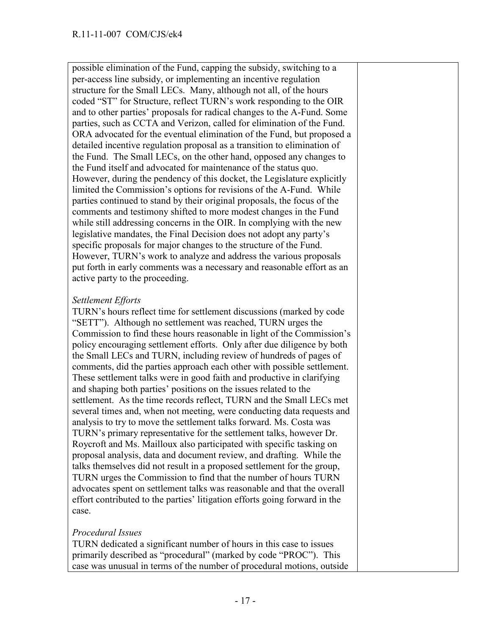possible elimination of the Fund, capping the subsidy, switching to a per-access line subsidy, or implementing an incentive regulation structure for the Small LECs. Many, although not all, of the hours coded "ST" for Structure, reflect TURN's work responding to the OIR and to other parties' proposals for radical changes to the A-Fund. Some parties, such as CCTA and Verizon, called for elimination of the Fund. ORA advocated for the eventual elimination of the Fund, but proposed a detailed incentive regulation proposal as a transition to elimination of the Fund. The Small LECs, on the other hand, opposed any changes to the Fund itself and advocated for maintenance of the status quo. However, during the pendency of this docket, the Legislature explicitly limited the Commission's options for revisions of the A-Fund. While parties continued to stand by their original proposals, the focus of the comments and testimony shifted to more modest changes in the Fund while still addressing concerns in the OIR. In complying with the new legislative mandates, the Final Decision does not adopt any party's specific proposals for major changes to the structure of the Fund. However, TURN's work to analyze and address the various proposals put forth in early comments was a necessary and reasonable effort as an active party to the proceeding.

### *Settlement Efforts*

TURN's hours reflect time for settlement discussions (marked by code "SETT"). Although no settlement was reached, TURN urges the Commission to find these hours reasonable in light of the Commission's policy encouraging settlement efforts. Only after due diligence by both the Small LECs and TURN, including review of hundreds of pages of comments, did the parties approach each other with possible settlement. These settlement talks were in good faith and productive in clarifying and shaping both parties' positions on the issues related to the settlement. As the time records reflect, TURN and the Small LECs met several times and, when not meeting, were conducting data requests and analysis to try to move the settlement talks forward. Ms. Costa was TURN's primary representative for the settlement talks, however Dr. Roycroft and Ms. Mailloux also participated with specific tasking on proposal analysis, data and document review, and drafting. While the talks themselves did not result in a proposed settlement for the group, TURN urges the Commission to find that the number of hours TURN advocates spent on settlement talks was reasonable and that the overall effort contributed to the parties' litigation efforts going forward in the case.

#### *Procedural Issues*

TURN dedicated a significant number of hours in this case to issues primarily described as "procedural" (marked by code "PROC"). This case was unusual in terms of the number of procedural motions, outside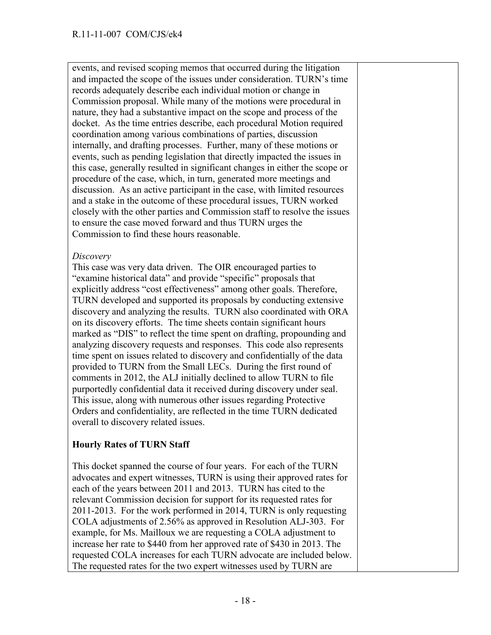events, and revised scoping memos that occurred during the litigation and impacted the scope of the issues under consideration. TURN's time records adequately describe each individual motion or change in Commission proposal. While many of the motions were procedural in nature, they had a substantive impact on the scope and process of the docket. As the time entries describe, each procedural Motion required coordination among various combinations of parties, discussion internally, and drafting processes. Further, many of these motions or events, such as pending legislation that directly impacted the issues in this case, generally resulted in significant changes in either the scope or procedure of the case, which, in turn, generated more meetings and discussion. As an active participant in the case, with limited resources and a stake in the outcome of these procedural issues, TURN worked closely with the other parties and Commission staff to resolve the issues to ensure the case moved forward and thus TURN urges the Commission to find these hours reasonable.

#### *Discovery*

This case was very data driven. The OIR encouraged parties to "examine historical data" and provide "specific" proposals that explicitly address "cost effectiveness" among other goals. Therefore, TURN developed and supported its proposals by conducting extensive discovery and analyzing the results. TURN also coordinated with ORA on its discovery efforts. The time sheets contain significant hours marked as "DIS" to reflect the time spent on drafting, propounding and analyzing discovery requests and responses. This code also represents time spent on issues related to discovery and confidentially of the data provided to TURN from the Small LECs. During the first round of comments in 2012, the ALJ initially declined to allow TURN to file purportedly confidential data it received during discovery under seal. This issue, along with numerous other issues regarding Protective Orders and confidentiality, are reflected in the time TURN dedicated overall to discovery related issues.

## **Hourly Rates of TURN Staff**

This docket spanned the course of four years. For each of the TURN advocates and expert witnesses, TURN is using their approved rates for each of the years between 2011 and 2013. TURN has cited to the relevant Commission decision for support for its requested rates for 2011-2013. For the work performed in 2014, TURN is only requesting COLA adjustments of 2.56% as approved in Resolution ALJ-303. For example, for Ms. Mailloux we are requesting a COLA adjustment to increase her rate to \$440 from her approved rate of \$430 in 2013. The requested COLA increases for each TURN advocate are included below. The requested rates for the two expert witnesses used by TURN are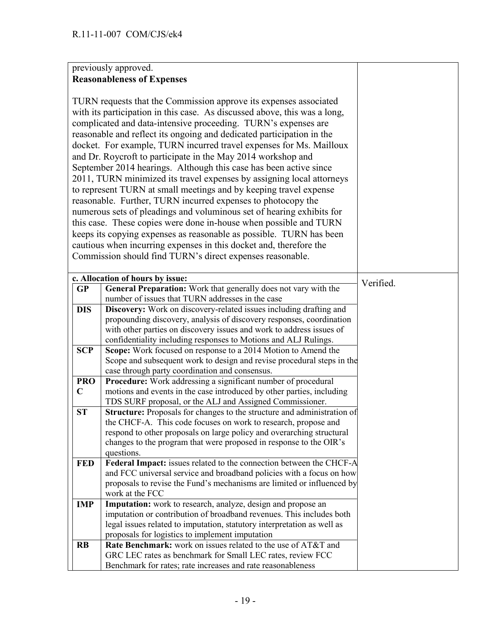## previously approved. **Reasonableness of Expenses**

|             | TURN requests that the Commission approve its expenses associated<br>with its participation in this case. As discussed above, this was a long,<br>complicated and data-intensive proceeding. TURN's expenses are<br>reasonable and reflect its ongoing and dedicated participation in the<br>docket. For example, TURN incurred travel expenses for Ms. Mailloux<br>and Dr. Roycroft to participate in the May 2014 workshop and<br>September 2014 hearings. Although this case has been active since<br>2011, TURN minimized its travel expenses by assigning local attorneys<br>to represent TURN at small meetings and by keeping travel expense<br>reasonable. Further, TURN incurred expenses to photocopy the<br>numerous sets of pleadings and voluminous set of hearing exhibits for<br>this case. These copies were done in-house when possible and TURN<br>keeps its copying expenses as reasonable as possible. TURN has been<br>cautious when incurring expenses in this docket and, therefore the<br>Commission should find TURN's direct expenses reasonable. |           |
|-------------|-----------------------------------------------------------------------------------------------------------------------------------------------------------------------------------------------------------------------------------------------------------------------------------------------------------------------------------------------------------------------------------------------------------------------------------------------------------------------------------------------------------------------------------------------------------------------------------------------------------------------------------------------------------------------------------------------------------------------------------------------------------------------------------------------------------------------------------------------------------------------------------------------------------------------------------------------------------------------------------------------------------------------------------------------------------------------------|-----------|
|             | c. Allocation of hours by issue:                                                                                                                                                                                                                                                                                                                                                                                                                                                                                                                                                                                                                                                                                                                                                                                                                                                                                                                                                                                                                                            |           |
| GP          | General Preparation: Work that generally does not vary with the                                                                                                                                                                                                                                                                                                                                                                                                                                                                                                                                                                                                                                                                                                                                                                                                                                                                                                                                                                                                             | Verified. |
|             | number of issues that TURN addresses in the case                                                                                                                                                                                                                                                                                                                                                                                                                                                                                                                                                                                                                                                                                                                                                                                                                                                                                                                                                                                                                            |           |
| <b>DIS</b>  | Discovery: Work on discovery-related issues including drafting and<br>propounding discovery, analysis of discovery responses, coordination<br>with other parties on discovery issues and work to address issues of                                                                                                                                                                                                                                                                                                                                                                                                                                                                                                                                                                                                                                                                                                                                                                                                                                                          |           |
|             | confidentiality including responses to Motions and ALJ Rulings.                                                                                                                                                                                                                                                                                                                                                                                                                                                                                                                                                                                                                                                                                                                                                                                                                                                                                                                                                                                                             |           |
| <b>SCP</b>  | Scope: Work focused on response to a 2014 Motion to Amend the<br>Scope and subsequent work to design and revise procedural steps in the<br>case through party coordination and consensus.                                                                                                                                                                                                                                                                                                                                                                                                                                                                                                                                                                                                                                                                                                                                                                                                                                                                                   |           |
| <b>PRO</b>  | <b>Procedure:</b> Work addressing a significant number of procedural                                                                                                                                                                                                                                                                                                                                                                                                                                                                                                                                                                                                                                                                                                                                                                                                                                                                                                                                                                                                        |           |
| $\mathbf C$ | motions and events in the case introduced by other parties, including<br>TDS SURF proposal, or the ALJ and Assigned Commissioner.                                                                                                                                                                                                                                                                                                                                                                                                                                                                                                                                                                                                                                                                                                                                                                                                                                                                                                                                           |           |
| <b>ST</b>   | Structure: Proposals for changes to the structure and administration of<br>the CHCF-A. This code focuses on work to research, propose and<br>respond to other proposals on large policy and overarching structural<br>changes to the program that were proposed in response to the OIR's<br>questions.                                                                                                                                                                                                                                                                                                                                                                                                                                                                                                                                                                                                                                                                                                                                                                      |           |
| <b>FED</b>  | Federal Impact: issues related to the connection between the CHCF-A<br>and FCC universal service and broadband policies with a focus on how<br>proposals to revise the Fund's mechanisms are limited or influenced by<br>work at the FCC                                                                                                                                                                                                                                                                                                                                                                                                                                                                                                                                                                                                                                                                                                                                                                                                                                    |           |
| <b>IMP</b>  | Imputation: work to research, analyze, design and propose an<br>imputation or contribution of broadband revenues. This includes both<br>legal issues related to imputation, statutory interpretation as well as<br>proposals for logistics to implement imputation                                                                                                                                                                                                                                                                                                                                                                                                                                                                                                                                                                                                                                                                                                                                                                                                          |           |
| <b>RB</b>   | Rate Benchmark: work on issues related to the use of AT&T and                                                                                                                                                                                                                                                                                                                                                                                                                                                                                                                                                                                                                                                                                                                                                                                                                                                                                                                                                                                                               |           |
|             | GRC LEC rates as benchmark for Small LEC rates, review FCC<br>Benchmark for rates; rate increases and rate reasonableness                                                                                                                                                                                                                                                                                                                                                                                                                                                                                                                                                                                                                                                                                                                                                                                                                                                                                                                                                   |           |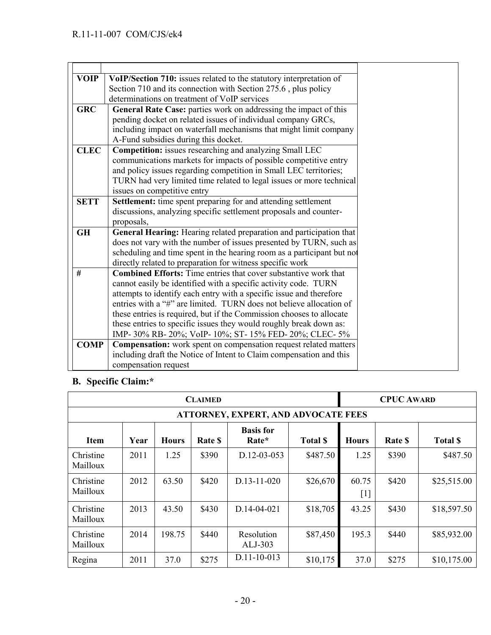| <b>VOIP</b> | VoIP/Section 710: issues related to the statutory interpretation of     |
|-------------|-------------------------------------------------------------------------|
|             | Section 710 and its connection with Section 275.6, plus policy          |
|             | determinations on treatment of VoIP services                            |
| <b>GRC</b>  | General Rate Case: parties work on addressing the impact of this        |
|             | pending docket on related issues of individual company GRCs,            |
|             | including impact on waterfall mechanisms that might limit company       |
|             | A-Fund subsidies during this docket.                                    |
| <b>CLEC</b> | Competition: issues researching and analyzing Small LEC                 |
|             | communications markets for impacts of possible competitive entry        |
|             | and policy issues regarding competition in Small LEC territories;       |
|             | TURN had very limited time related to legal issues or more technical    |
|             | issues on competitive entry                                             |
| <b>SETT</b> | Settlement: time spent preparing for and attending settlement           |
|             | discussions, analyzing specific settlement proposals and counter-       |
|             | proposals,                                                              |
| <b>GH</b>   | General Hearing: Hearing related preparation and participation that     |
|             | does not vary with the number of issues presented by TURN, such as      |
|             | scheduling and time spent in the hearing room as a participant but not  |
|             | directly related to preparation for witness specific work               |
| #           | <b>Combined Efforts:</b> Time entries that cover substantive work that  |
|             | cannot easily be identified with a specific activity code. TURN         |
|             | attempts to identify each entry with a specific issue and therefore     |
|             | entries with a "#" are limited. TURN does not believe allocation of     |
|             | these entries is required, but if the Commission chooses to allocate    |
|             | these entries to specific issues they would roughly break down as:      |
|             | IMP-30% RB-20%; VoIP-10%; ST-15% FED-20%; CLEC-5%                       |
| <b>COMP</b> | <b>Compensation:</b> work spent on compensation request related matters |
|             | including draft the Notice of Intent to Claim compensation and this     |
|             | compensation request                                                    |

# **B. Specific Claim:\***

| <b>CLAIMED</b>        |      |              |         |                                            |                |                            | <b>CPUC AWARD</b> |                |
|-----------------------|------|--------------|---------|--------------------------------------------|----------------|----------------------------|-------------------|----------------|
|                       |      |              |         | <b>ATTORNEY, EXPERT, AND ADVOCATE FEES</b> |                |                            |                   |                |
| Item                  | Year | <b>Hours</b> | Rate \$ | <b>Basis</b> for<br>Rate*                  | <b>Total S</b> | <b>Hours</b>               | Rate \$           | <b>Total S</b> |
| Christine<br>Mailloux | 2011 | 1.25         | \$390   | $D.12 - 03 - 053$                          | \$487.50       | 1.25                       | \$390             | \$487.50       |
| Christine<br>Mailloux | 2012 | 63.50        | \$420   | $D.13 - 11 - 020$                          | \$26,670       | 60.75<br>$\lceil 1 \rceil$ | \$420             | \$25,515.00    |
| Christine<br>Mailloux | 2013 | 43.50        | \$430   | D.14-04-021                                | \$18,705       | 43.25                      | \$430             | \$18,597.50    |
| Christine<br>Mailloux | 2014 | 198.75       | \$440   | Resolution<br>ALJ-303                      | \$87,450       | 195.3                      | \$440             | \$85,932.00    |
| Regina                | 2011 | 37.0         | \$275   | $D.11 - 10 - 013$                          | \$10,175       | 37.0                       | \$275             | \$10,175.00    |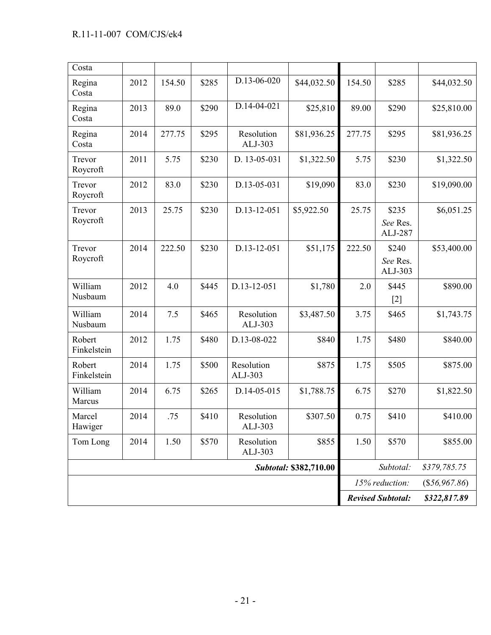| Costa                 |      |        |       |                       |                               |                |                              |              |
|-----------------------|------|--------|-------|-----------------------|-------------------------------|----------------|------------------------------|--------------|
| Regina<br>Costa       | 2012 | 154.50 | \$285 | D.13-06-020           | \$44,032.50                   | 154.50         | \$285                        | \$44,032.50  |
| Regina<br>Costa       | 2013 | 89.0   | \$290 | D.14-04-021           | \$25,810                      | 89.00          | \$290                        | \$25,810.00  |
| Regina<br>Costa       | 2014 | 277.75 | \$295 | Resolution<br>ALJ-303 | \$81,936.25                   | 277.75         | \$295                        | \$81,936.25  |
| Trevor<br>Roycroft    | 2011 | 5.75   | \$230 | D. 13-05-031          | \$1,322.50                    | 5.75           | \$230                        | \$1,322.50   |
| Trevor<br>Roycroft    | 2012 | 83.0   | \$230 | D.13-05-031           | \$19,090                      | 83.0           | \$230                        | \$19,090.00  |
| Trevor<br>Roycroft    | 2013 | 25.75  | \$230 | D.13-12-051           | \$5,922.50                    | 25.75          | \$235<br>See Res.<br>ALJ-287 | \$6,051.25   |
| Trevor<br>Roycroft    | 2014 | 222.50 | \$230 | D.13-12-051           | \$51,175                      | 222.50         | \$240<br>See Res.<br>ALJ-303 | \$53,400.00  |
| William<br>Nusbaum    | 2012 | 4.0    | \$445 | D.13-12-051           | \$1,780                       | 2.0            | \$445<br>$[2]$               | \$890.00     |
| William<br>Nusbaum    | 2014 | 7.5    | \$465 | Resolution<br>ALJ-303 | \$3,487.50                    | 3.75           | \$465                        | \$1,743.75   |
| Robert<br>Finkelstein | 2012 | 1.75   | \$480 | D.13-08-022           | \$840                         | 1.75           | \$480                        | \$840.00     |
| Robert<br>Finkelstein | 2014 | 1.75   | \$500 | Resolution<br>ALJ-303 | \$875                         | 1.75           | \$505                        | \$875.00     |
| William<br>Marcus     | 2014 | 6.75   | \$265 | D.14-05-015           | \$1,788.75                    | 6.75           | \$270                        | \$1,822.50   |
| Marcel<br>Hawiger     | 2014 | .75    | \$410 | Resolution<br>ALJ-303 | \$307.50                      | 0.75           | \$410                        | \$410.00     |
| Tom Long              | 2014 | 1.50   | \$570 | Resolution<br>ALJ-303 | \$855                         | 1.50           | \$570                        | \$855.00     |
|                       |      |        |       |                       | <b>Subtotal: \$382,710.00</b> |                | Subtotal:                    | \$379,785.75 |
|                       |      |        |       |                       |                               | 15% reduction: | $(\$56,967.86)$              |              |
|                       |      |        |       |                       |                               |                | <b>Revised Subtotal:</b>     | \$322,817.89 |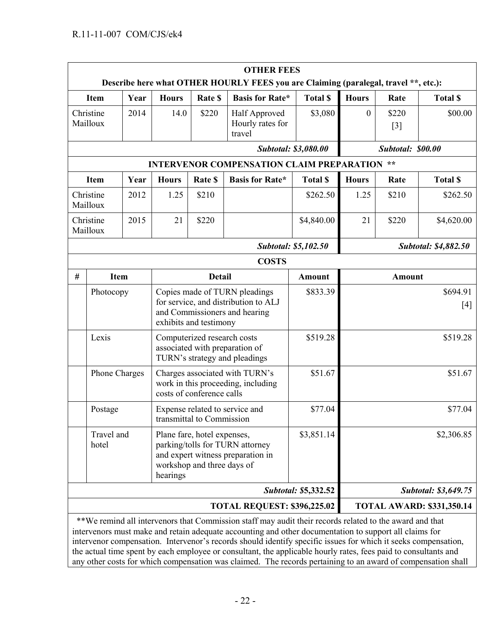|   | <b>OTHER FEES</b><br>Describe here what OTHER HOURLY FEES you are Claiming (paralegal, travel **, etc.): |                                                                                                                                               |               |                                                                                                                                  |                                                  |                             |                |                   |                                  |
|---|----------------------------------------------------------------------------------------------------------|-----------------------------------------------------------------------------------------------------------------------------------------------|---------------|----------------------------------------------------------------------------------------------------------------------------------|--------------------------------------------------|-----------------------------|----------------|-------------------|----------------------------------|
|   | <b>Item</b>                                                                                              | Year                                                                                                                                          | <b>Hours</b>  | Rate \$                                                                                                                          | <b>Basis for Rate*</b>                           | <b>Total \$</b>             | <b>Hours</b>   | Rate              | <b>Total \$</b>                  |
|   | Christine<br>Mailloux                                                                                    | 2014                                                                                                                                          | 14.0          | \$220                                                                                                                            | Half Approved<br>Hourly rates for<br>travel      | \$3,080                     | $\overline{0}$ | \$220<br>$[3]$    | \$00.00                          |
|   |                                                                                                          |                                                                                                                                               |               |                                                                                                                                  |                                                  | <b>Subtotal: \$3,080.00</b> |                | Subtotal: \$00.00 |                                  |
|   |                                                                                                          |                                                                                                                                               |               |                                                                                                                                  | <b>INTERVENOR COMPENSATION CLAIM PREPARATION</b> |                             |                | $**$              |                                  |
|   | <b>Item</b>                                                                                              | Year                                                                                                                                          | <b>Hours</b>  | Rate \$                                                                                                                          | <b>Basis for Rate*</b>                           | <b>Total \$</b>             | <b>Hours</b>   | Rate              | <b>Total \$</b>                  |
|   | Christine<br>Mailloux                                                                                    | 2012                                                                                                                                          | 1.25          | \$210                                                                                                                            |                                                  | \$262.50                    | 1.25           | \$210             | \$262.50                         |
|   | Christine<br>Mailloux                                                                                    | 2015                                                                                                                                          | 21            | \$220                                                                                                                            |                                                  | \$4,840.00                  | 21             | \$220             | \$4,620.00                       |
|   |                                                                                                          |                                                                                                                                               |               |                                                                                                                                  |                                                  | <b>Subtotal: \$5,102.50</b> |                |                   | Subtotal: \$4,882.50             |
|   |                                                                                                          |                                                                                                                                               |               |                                                                                                                                  | <b>COSTS</b>                                     |                             |                |                   |                                  |
| # | <b>Item</b>                                                                                              |                                                                                                                                               | <b>Detail</b> |                                                                                                                                  |                                                  | <b>Amount</b>               | <b>Amount</b>  |                   |                                  |
|   | Photocopy                                                                                                |                                                                                                                                               |               | Copies made of TURN pleadings<br>for service, and distribution to ALJ<br>and Commissioners and hearing<br>exhibits and testimony |                                                  | \$833.39                    |                |                   | \$694.91<br>$[4]$                |
|   | Lexis                                                                                                    |                                                                                                                                               |               | Computerized research costs<br>associated with preparation of<br>TURN's strategy and pleadings                                   |                                                  |                             |                |                   | \$519.28                         |
|   | Phone Charges                                                                                            |                                                                                                                                               |               | Charges associated with TURN's<br>work in this proceeding, including<br>costs of conference calls                                |                                                  |                             |                |                   | \$51.67                          |
|   | Postage                                                                                                  |                                                                                                                                               |               | Expense related to service and<br>transmittal to Commission                                                                      |                                                  |                             |                |                   | \$77.04                          |
|   | Travel and<br>hotel                                                                                      | Plane fare, hotel expenses,<br>parking/tolls for TURN attorney<br>and expert witness preparation in<br>workshop and three days of<br>hearings |               |                                                                                                                                  | \$3,851.14                                       |                             |                | \$2,306.85        |                                  |
|   |                                                                                                          |                                                                                                                                               |               |                                                                                                                                  |                                                  | <b>Subtotal: \$5,332.52</b> |                |                   | <b>Subtotal: \$3,649.75</b>      |
|   |                                                                                                          |                                                                                                                                               |               |                                                                                                                                  | <b>TOTAL REQUEST: \$396,225.02</b>               |                             |                |                   | <b>TOTAL AWARD: \$331,350.14</b> |

 \*\*We remind all intervenors that Commission staff may audit their records related to the award and that intervenors must make and retain adequate accounting and other documentation to support all claims for intervenor compensation. Intervenor's records should identify specific issues for which it seeks compensation, the actual time spent by each employee or consultant, the applicable hourly rates, fees paid to consultants and any other costs for which compensation was claimed. The records pertaining to an award of compensation shall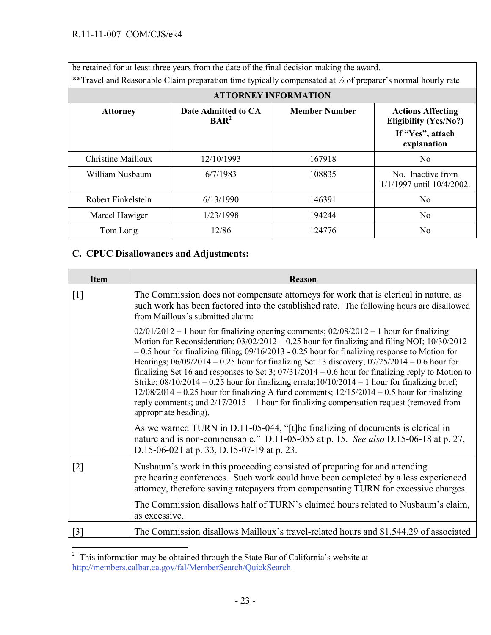be retained for at least three years from the date of the final decision making the award. \*\*Travel and Reasonable Claim preparation time typically compensated at ½ of preparer's normal hourly rate

| <b>ATTORNEY INFORMATION</b> |                                                             |                      |                                                                                             |  |  |  |  |
|-----------------------------|-------------------------------------------------------------|----------------------|---------------------------------------------------------------------------------------------|--|--|--|--|
| <b>Attorney</b>             | Date Admitted to CA<br>$\mathbf{B} \mathbf{A} \mathbf{R}^2$ | <b>Member Number</b> | <b>Actions Affecting</b><br><b>Eligibility (Yes/No?)</b><br>If "Yes", attach<br>explanation |  |  |  |  |
| Christine Mailloux          | 12/10/1993                                                  | 167918               | N <sub>0</sub>                                                                              |  |  |  |  |
| William Nusbaum             | 6/7/1983                                                    | 108835               | No Inactive from<br>1/1/1997 until 10/4/2002.                                               |  |  |  |  |
| Robert Finkelstein          | 6/13/1990                                                   | 146391               | N <sub>o</sub>                                                                              |  |  |  |  |
| Marcel Hawiger              | 1/23/1998                                                   | 194244               | N <sub>0</sub>                                                                              |  |  |  |  |
| Tom Long                    | 12/86                                                       | 124776               | N <sub>0</sub>                                                                              |  |  |  |  |

## **C. CPUC Disallowances and Adjustments:**

| <b>Item</b>       | Reason                                                                                                                                                                                                                                                                                                                                                                                                                                                                                                                                                                                                                                                                                                                                                                                                                                      |
|-------------------|---------------------------------------------------------------------------------------------------------------------------------------------------------------------------------------------------------------------------------------------------------------------------------------------------------------------------------------------------------------------------------------------------------------------------------------------------------------------------------------------------------------------------------------------------------------------------------------------------------------------------------------------------------------------------------------------------------------------------------------------------------------------------------------------------------------------------------------------|
| $[1]$             | The Commission does not compensate attorneys for work that is clerical in nature, as<br>such work has been factored into the established rate. The following hours are disallowed<br>from Mailloux's submitted claim:                                                                                                                                                                                                                                                                                                                                                                                                                                                                                                                                                                                                                       |
|                   | $02/01/2012 - 1$ hour for finalizing opening comments; $02/08/2012 - 1$ hour for finalizing<br>Motion for Reconsideration; 03/02/2012 - 0.25 hour for finalizing and filing NOI; 10/30/2012<br>$-0.5$ hour for finalizing filing; $09/16/2013 - 0.25$ hour for finalizing response to Motion for<br>Hearings; $06/09/2014 - 0.25$ hour for finalizing Set 13 discovery; $07/25/2014 - 0.6$ hour for<br>finalizing Set 16 and responses to Set 3; $07/31/2014 - 0.6$ hour for finalizing reply to Motion to<br>Strike; $08/10/2014 - 0.25$ hour for finalizing errata; $10/10/2014 - 1$ hour for finalizing brief;<br>$12/08/2014 - 0.25$ hour for finalizing A fund comments; $12/15/2014 - 0.5$ hour for finalizing<br>reply comments; and $2/17/2015 - 1$ hour for finalizing compensation request (removed from<br>appropriate heading). |
|                   | As we warned TURN in D.11-05-044, "[t]he finalizing of documents is clerical in<br>nature and is non-compensable." D.11-05-055 at p. 15. See also D.15-06-18 at p. 27,<br>D.15-06-021 at p. 33, D.15-07-19 at p. 23.                                                                                                                                                                                                                                                                                                                                                                                                                                                                                                                                                                                                                        |
| $\lceil 2 \rceil$ | Nusbaum's work in this proceeding consisted of preparing for and attending<br>pre hearing conferences. Such work could have been completed by a less experienced<br>attorney, therefore saving ratepayers from compensating TURN for excessive charges.                                                                                                                                                                                                                                                                                                                                                                                                                                                                                                                                                                                     |
|                   | The Commission disallows half of TURN's claimed hours related to Nusbaum's claim,<br>as excessive.                                                                                                                                                                                                                                                                                                                                                                                                                                                                                                                                                                                                                                                                                                                                          |
| $\lceil 3 \rceil$ | The Commission disallows Mailloux's travel-related hours and \$1,544.29 of associated                                                                                                                                                                                                                                                                                                                                                                                                                                                                                                                                                                                                                                                                                                                                                       |

<sup>&</sup>lt;sup>2</sup> This information may be obtained through the State Bar of California's website at [http://members.calbar.ca.gov/fal/MemberSearch/QuickSearch.](http://members.calbar.ca.gov/fal/MemberSearch/QuickSearch)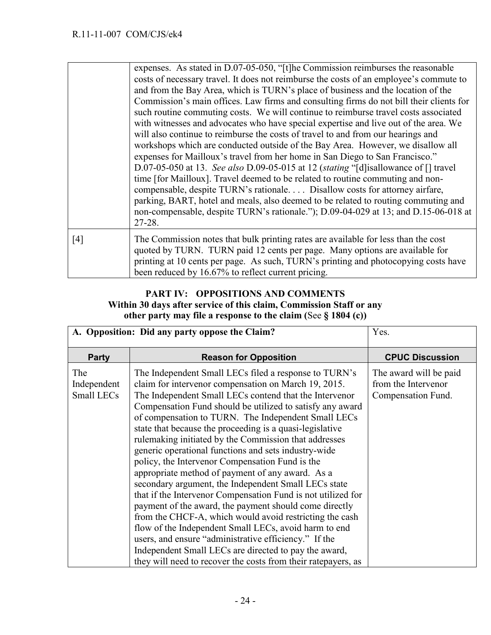|     | expenses. As stated in D.07-05-050, "[t]he Commission reimburses the reasonable<br>costs of necessary travel. It does not reimburse the costs of an employee's commute to<br>and from the Bay Area, which is TURN's place of business and the location of the<br>Commission's main offices. Law firms and consulting firms do not bill their clients for<br>such routine commuting costs. We will continue to reimburse travel costs associated<br>with witnesses and advocates who have special expertise and live out of the area. We<br>will also continue to reimburse the costs of travel to and from our hearings and<br>workshops which are conducted outside of the Bay Area. However, we disallow all<br>expenses for Mailloux's travel from her home in San Diego to San Francisco."<br>D.07-05-050 at 13. See also D.09-05-015 at 12 (stating "[d] is allowance of $[]$ travel<br>time [for Mailloux]. Travel deemed to be related to routine commuting and non-<br>compensable, despite TURN's rationale Disallow costs for attorney airfare,<br>parking, BART, hotel and meals, also deemed to be related to routing commuting and<br>non-compensable, despite TURN's rationale."); D.09-04-029 at 13; and D.15-06-018 at<br>$27 - 28$ . |
|-----|-------------------------------------------------------------------------------------------------------------------------------------------------------------------------------------------------------------------------------------------------------------------------------------------------------------------------------------------------------------------------------------------------------------------------------------------------------------------------------------------------------------------------------------------------------------------------------------------------------------------------------------------------------------------------------------------------------------------------------------------------------------------------------------------------------------------------------------------------------------------------------------------------------------------------------------------------------------------------------------------------------------------------------------------------------------------------------------------------------------------------------------------------------------------------------------------------------------------------------------------------------|
| [4] | The Commission notes that bulk printing rates are available for less than the cost<br>quoted by TURN. TURN paid 12 cents per page. Many options are available for<br>printing at 10 cents per page. As such, TURN's printing and photocopying costs have<br>been reduced by 16.67% to reflect current pricing.                                                                                                                                                                                                                                                                                                                                                                                                                                                                                                                                                                                                                                                                                                                                                                                                                                                                                                                                        |

## **PART IV: OPPOSITIONS AND COMMENTS Within 30 days after service of this claim, Commission Staff or any other party may file a response to the claim (**See **§ 1804 (c))**

| A. Opposition: Did any party oppose the Claim? | Yes.                                                                                                                                                                                                                                                                                                                                                                                                                                                                                                                                                                                                                                                                                                                                                                                                                                                                                                                                                                                                                                                                      |                                                                     |
|------------------------------------------------|---------------------------------------------------------------------------------------------------------------------------------------------------------------------------------------------------------------------------------------------------------------------------------------------------------------------------------------------------------------------------------------------------------------------------------------------------------------------------------------------------------------------------------------------------------------------------------------------------------------------------------------------------------------------------------------------------------------------------------------------------------------------------------------------------------------------------------------------------------------------------------------------------------------------------------------------------------------------------------------------------------------------------------------------------------------------------|---------------------------------------------------------------------|
| <b>Party</b>                                   | <b>Reason for Opposition</b>                                                                                                                                                                                                                                                                                                                                                                                                                                                                                                                                                                                                                                                                                                                                                                                                                                                                                                                                                                                                                                              | <b>CPUC Discussion</b>                                              |
| The<br>Independent<br>Small LECs               | The Independent Small LECs filed a response to TURN's<br>claim for intervenor compensation on March 19, 2015.<br>The Independent Small LECs contend that the Intervenor<br>Compensation Fund should be utilized to satisfy any award<br>of compensation to TURN. The Independent Small LECs<br>state that because the proceeding is a quasi-legislative<br>rulemaking initiated by the Commission that addresses<br>generic operational functions and sets industry-wide<br>policy, the Intervenor Compensation Fund is the<br>appropriate method of payment of any award. As a<br>secondary argument, the Independent Small LECs state<br>that if the Intervenor Compensation Fund is not utilized for<br>payment of the award, the payment should come directly<br>from the CHCF-A, which would avoid restricting the cash<br>flow of the Independent Small LECs, avoid harm to end<br>users, and ensure "administrative efficiency." If the<br>Independent Small LECs are directed to pay the award,<br>they will need to recover the costs from their rate payers, as | The award will be paid<br>from the Intervenor<br>Compensation Fund. |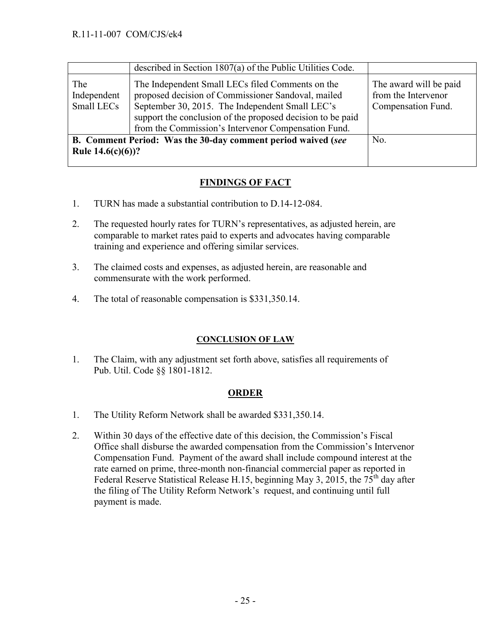|                                                                                     | described in Section 1807(a) of the Public Utilities Code.                                                                                                                                                                                                                     |                                                                     |
|-------------------------------------------------------------------------------------|--------------------------------------------------------------------------------------------------------------------------------------------------------------------------------------------------------------------------------------------------------------------------------|---------------------------------------------------------------------|
| The<br>Independent<br>Small LECs                                                    | The Independent Small LECs filed Comments on the<br>proposed decision of Commissioner Sandoval, mailed<br>September 30, 2015. The Independent Small LEC's<br>support the conclusion of the proposed decision to be paid<br>from the Commission's Intervenor Compensation Fund. | The award will be paid<br>from the Intervenor<br>Compensation Fund. |
| B. Comment Period: Was the 30-day comment period waived (see<br>Rule $14.6(c)(6)$ ? |                                                                                                                                                                                                                                                                                | No.                                                                 |

### **FINDINGS OF FACT**

- 1. TURN has made a substantial contribution to D.14-12-084.
- 2. The requested hourly rates for TURN's representatives, as adjusted herein, are comparable to market rates paid to experts and advocates having comparable training and experience and offering similar services.
- 3. The claimed costs and expenses, as adjusted herein, are reasonable and commensurate with the work performed.
- 4. The total of reasonable compensation is \$331,350.14.

#### **CONCLUSION OF LAW**

1. The Claim, with any adjustment set forth above, satisfies all requirements of Pub. Util. Code §§ 1801-1812.

#### **ORDER**

- 1. The Utility Reform Network shall be awarded \$331,350.14.
- 2. Within 30 days of the effective date of this decision, the Commission's Fiscal Office shall disburse the awarded compensation from the Commission's Intervenor Compensation Fund. Payment of the award shall include compound interest at the rate earned on prime, three-month non-financial commercial paper as reported in Federal Reserve Statistical Release H.15, beginning May 3, 2015, the  $75<sup>th</sup>$  day after the filing of The Utility Reform Network's request, and continuing until full payment is made.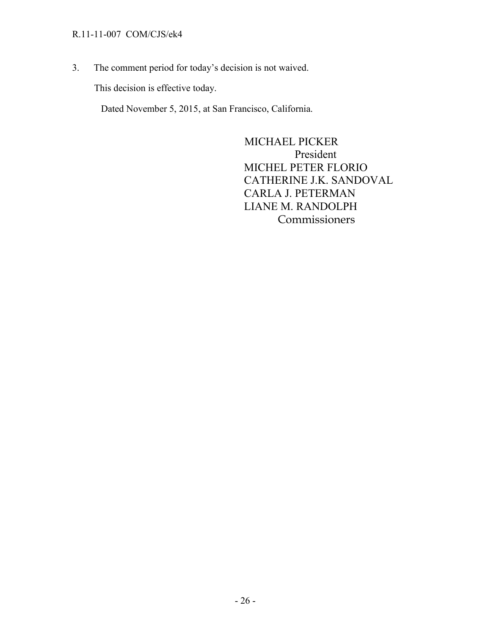#### R.11-11-007 COM/CJS/ek4

3. The comment period for today's decision is not waived.

This decision is effective today.

Dated November 5, 2015, at San Francisco, California.

 MICHAEL PICKER President MICHEL PETER FLORIO CATHERINE J.K. SANDOVAL CARLA J. PETERMAN LIANE M. RANDOLPH Commissioners